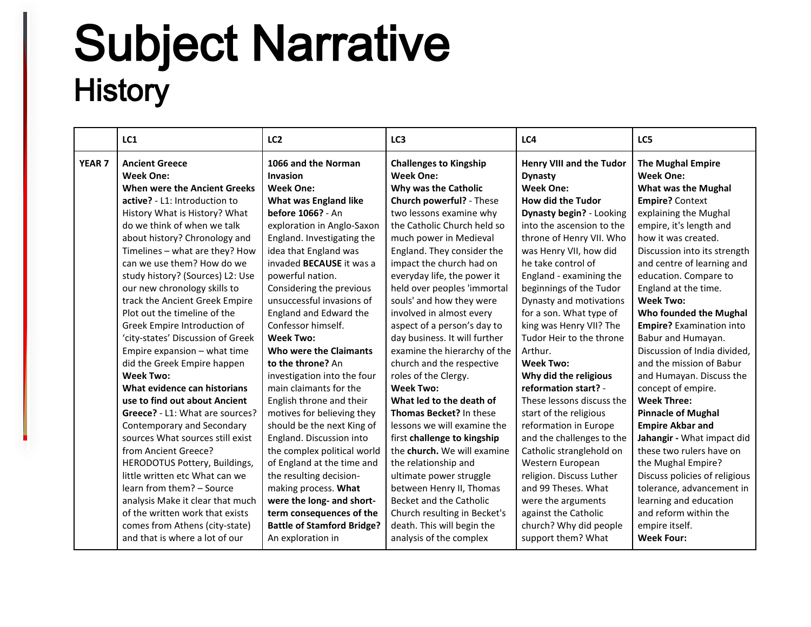## Subject Narrative<br>History

|               | LC1                                                                       | LC <sub>2</sub>                                     | LC3                                                                       | LC4                                                                   | LC5                                                                        |
|---------------|---------------------------------------------------------------------------|-----------------------------------------------------|---------------------------------------------------------------------------|-----------------------------------------------------------------------|----------------------------------------------------------------------------|
| <b>YEAR 7</b> | <b>Ancient Greece</b><br><b>Week One:</b><br>When were the Ancient Greeks | 1066 and the Norman<br>Invasion<br><b>Week One:</b> | <b>Challenges to Kingship</b><br><b>Week One:</b><br>Why was the Catholic | <b>Henry VIII and the Tudor</b><br><b>Dynasty</b><br><b>Week One:</b> | <b>The Mughal Empire</b><br><b>Week One:</b><br><b>What was the Mughal</b> |
|               | active? - L1: Introduction to                                             | <b>What was England like</b>                        | Church powerful? - These                                                  | <b>How did the Tudor</b>                                              | <b>Empire?</b> Context                                                     |
|               | History What is History? What                                             | before 1066? - An                                   | two lessons examine why                                                   | Dynasty begin? - Looking                                              | explaining the Mughal                                                      |
|               | do we think of when we talk                                               | exploration in Anglo-Saxon                          | the Catholic Church held so                                               | into the ascension to the                                             | empire, it's length and                                                    |
|               | about history? Chronology and                                             | England. Investigating the                          | much power in Medieval                                                    | throne of Henry VII. Who                                              | how it was created.                                                        |
|               | Timelines - what are they? How                                            | idea that England was                               | England. They consider the                                                | was Henry VII, how did                                                | Discussion into its strength                                               |
|               | can we use them? How do we                                                | invaded <b>BECAUSE</b> it was a                     | impact the church had on                                                  | he take control of                                                    | and centre of learning and                                                 |
|               | study history? (Sources) L2: Use                                          | powerful nation.                                    | everyday life, the power it                                               | England - examining the                                               | education. Compare to                                                      |
|               | our new chronology skills to                                              | Considering the previous                            | held over peoples 'immortal                                               | beginnings of the Tudor                                               | England at the time.                                                       |
|               | track the Ancient Greek Empire                                            | unsuccessful invasions of                           | souls' and how they were                                                  | Dynasty and motivations                                               | <b>Week Two:</b>                                                           |
|               | Plot out the timeline of the                                              | England and Edward the                              | involved in almost every                                                  | for a son. What type of                                               | Who founded the Mughal                                                     |
|               | Greek Empire Introduction of                                              | Confessor himself.                                  | aspect of a person's day to                                               | king was Henry VII? The                                               | <b>Empire?</b> Examination into                                            |
|               | 'city-states' Discussion of Greek                                         | <b>Week Two:</b>                                    | day business. It will further                                             | Tudor Heir to the throne                                              | Babur and Humayan.                                                         |
|               | Empire expansion - what time                                              | Who were the Claimants                              | examine the hierarchy of the                                              | Arthur.                                                               | Discussion of India divided.                                               |
|               | did the Greek Empire happen                                               | to the throne? An                                   | church and the respective                                                 | <b>Week Two:</b>                                                      | and the mission of Babur                                                   |
|               | <b>Week Two:</b>                                                          | investigation into the four                         | roles of the Clergy.                                                      | Why did the religious                                                 | and Humayan. Discuss the                                                   |
|               | What evidence can historians                                              | main claimants for the                              | <b>Week Two:</b>                                                          | reformation start? -                                                  | concept of empire.                                                         |
|               | use to find out about Ancient                                             | English throne and their                            | What led to the death of                                                  | These lessons discuss the                                             | <b>Week Three:</b>                                                         |
|               | Greece? - L1: What are sources?                                           | motives for believing they                          | <b>Thomas Becket?</b> In these                                            | start of the religious                                                | <b>Pinnacle of Mughal</b>                                                  |
|               | Contemporary and Secondary                                                | should be the next King of                          | lessons we will examine the                                               | reformation in Europe                                                 | <b>Empire Akbar and</b>                                                    |
|               | sources What sources still exist                                          | England. Discussion into                            | first challenge to kingship                                               | and the challenges to the                                             | Jahangir - What impact did                                                 |
|               | from Ancient Greece?                                                      | the complex political world                         | the church. We will examine                                               | Catholic stranglehold on                                              | these two rulers have on                                                   |
|               | HERODOTUS Pottery, Buildings,                                             | of England at the time and                          | the relationship and                                                      | Western European                                                      | the Mughal Empire?                                                         |
|               | little written etc What can we                                            | the resulting decision-                             | ultimate power struggle                                                   | religion. Discuss Luther                                              | Discuss policies of religious                                              |
|               | learn from them? - Source                                                 | making process. What                                | between Henry II, Thomas                                                  | and 99 Theses. What                                                   | tolerance, advancement in                                                  |
|               | analysis Make it clear that much                                          | were the long- and short-                           | Becket and the Catholic                                                   | were the arguments                                                    | learning and education                                                     |
|               | of the written work that exists                                           | term consequences of the                            | Church resulting in Becket's                                              | against the Catholic                                                  | and reform within the                                                      |
|               | comes from Athens (city-state)                                            | <b>Battle of Stamford Bridge?</b>                   | death. This will begin the                                                | church? Why did people                                                | empire itself.                                                             |
|               | and that is where a lot of our                                            | An exploration in                                   | analysis of the complex                                                   | support them? What                                                    | <b>Week Four:</b>                                                          |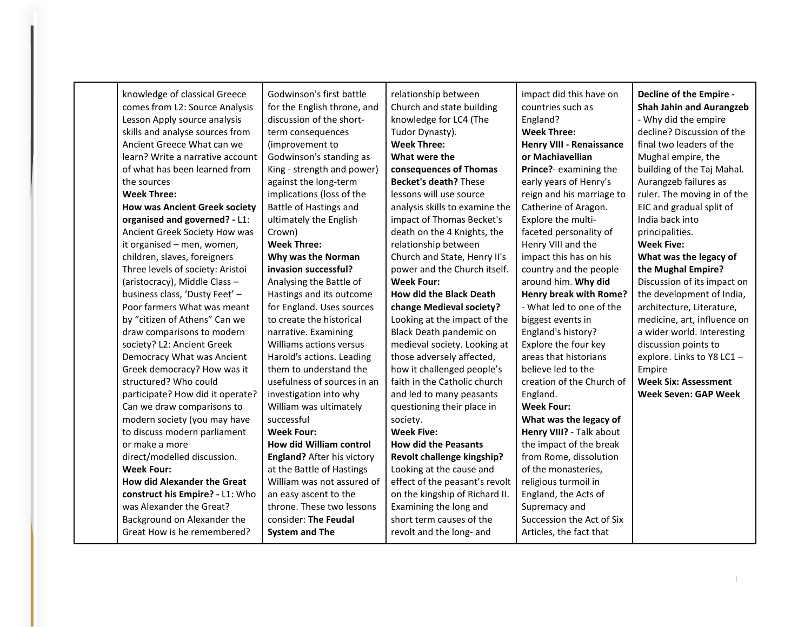| knowledge of classical Greece<br>comes from L2: Source Analysis | Godwinson's first battle<br>for the English throne, and | relationship between<br>Church and state building | impact did this have on<br>countries such as | Decline of the Empire -<br><b>Shah Jahin and Aurangzeb</b> |
|-----------------------------------------------------------------|---------------------------------------------------------|---------------------------------------------------|----------------------------------------------|------------------------------------------------------------|
| Lesson Apply source analysis                                    | discussion of the short-                                | knowledge for LC4 (The                            | England?                                     | - Why did the empire                                       |
| skills and analyse sources from                                 | term consequences                                       | Tudor Dynasty).                                   | <b>Week Three:</b>                           | decline? Discussion of the                                 |
| Ancient Greece What can we                                      | (improvement to                                         | <b>Week Three:</b>                                | <b>Henry VIII - Renaissance</b>              | final two leaders of the                                   |
| learn? Write a narrative account                                | Godwinson's standing as                                 | What were the                                     | or Machiavellian                             | Mughal empire, the                                         |
| of what has been learned from                                   | King - strength and power)                              | consequences of Thomas                            | Prince?- examining the                       | building of the Taj Mahal.                                 |
| the sources                                                     | against the long-term                                   | <b>Becket's death? These</b>                      | early years of Henry's                       | Aurangzeb failures as                                      |
| <b>Week Three:</b>                                              | implications (loss of the                               | lessons will use source                           | reign and his marriage to                    | ruler. The moving in of the                                |
| <b>How was Ancient Greek society</b>                            | Battle of Hastings and                                  | analysis skills to examine the                    | Catherine of Aragon.                         | EIC and gradual split of                                   |
| organised and governed? - L1:                                   | ultimately the English                                  | impact of Thomas Becket's                         | Explore the multi-                           | India back into                                            |
| Ancient Greek Society How was                                   | Crown)                                                  | death on the 4 Knights, the                       | faceted personality of                       | principalities.                                            |
| it organised - men, women,                                      | <b>Week Three:</b>                                      | relationship between                              | Henry VIII and the                           | <b>Week Five:</b>                                          |
| children, slaves, foreigners                                    | Why was the Norman                                      | Church and State, Henry II's                      | impact this has on his                       | What was the legacy of                                     |
| Three levels of society: Aristoi                                | invasion successful?                                    | power and the Church itself.                      | country and the people                       | the Mughal Empire?                                         |
| (aristocracy), Middle Class-                                    | Analysing the Battle of                                 | <b>Week Four:</b>                                 | around him. Why did                          | Discussion of its impact on                                |
| business class, 'Dusty Feet' -                                  |                                                         | <b>How did the Black Death</b>                    | <b>Henry break with Rome?</b>                | the development of India,                                  |
|                                                                 | Hastings and its outcome                                |                                                   | - What led to one of the                     |                                                            |
| Poor farmers What was meant                                     | for England. Uses sources                               | change Medieval society?                          |                                              | architecture, Literature,                                  |
| by "citizen of Athens" Can we                                   | to create the historical                                | Looking at the impact of the                      | biggest events in                            | medicine, art, influence on                                |
| draw comparisons to modern                                      | narrative. Examining                                    | Black Death pandemic on                           | England's history?                           | a wider world. Interesting                                 |
| society? L2: Ancient Greek                                      | Williams actions versus                                 | medieval society. Looking at                      | Explore the four key                         | discussion points to                                       |
| Democracy What was Ancient                                      | Harold's actions. Leading                               | those adversely affected,                         | areas that historians                        | explore. Links to Y8 LC1 -                                 |
| Greek democracy? How was it                                     | them to understand the                                  | how it challenged people's                        | believe led to the                           | Empire                                                     |
| structured? Who could                                           | usefulness of sources in an                             | faith in the Catholic church                      | creation of the Church of                    | <b>Week Six: Assessment</b>                                |
| participate? How did it operate?                                | investigation into why                                  | and led to many peasants                          | England.                                     | <b>Week Seven: GAP Week</b>                                |
| Can we draw comparisons to                                      | William was ultimately                                  | questioning their place in                        | <b>Week Four:</b>                            |                                                            |
| modern society (you may have                                    | successful                                              | society.                                          | What was the legacy of                       |                                                            |
| to discuss modern parliament                                    | <b>Week Four:</b>                                       | <b>Week Five:</b>                                 | Henry VIII? - Talk about                     |                                                            |
| or make a more                                                  | How did William control                                 | <b>How did the Peasants</b>                       | the impact of the break                      |                                                            |
| direct/modelled discussion.                                     | <b>England?</b> After his victory                       | Revolt challenge kingship?                        | from Rome, dissolution                       |                                                            |
| <b>Week Four:</b>                                               | at the Battle of Hastings                               | Looking at the cause and                          | of the monasteries,                          |                                                            |
| <b>How did Alexander the Great</b>                              | William was not assured of                              | effect of the peasant's revolt                    | religious turmoil in                         |                                                            |
| construct his Empire? - L1: Who                                 | an easy ascent to the                                   | on the kingship of Richard II.                    | England, the Acts of                         |                                                            |
| was Alexander the Great?                                        | throne. These two lessons                               | Examining the long and                            | Supremacy and                                |                                                            |
| Background on Alexander the                                     | consider: The Feudal                                    | short term causes of the                          | Succession the Act of Six                    |                                                            |
| Great How is he remembered?                                     | <b>System and The</b>                                   | revolt and the long- and                          | Articles, the fact that                      |                                                            |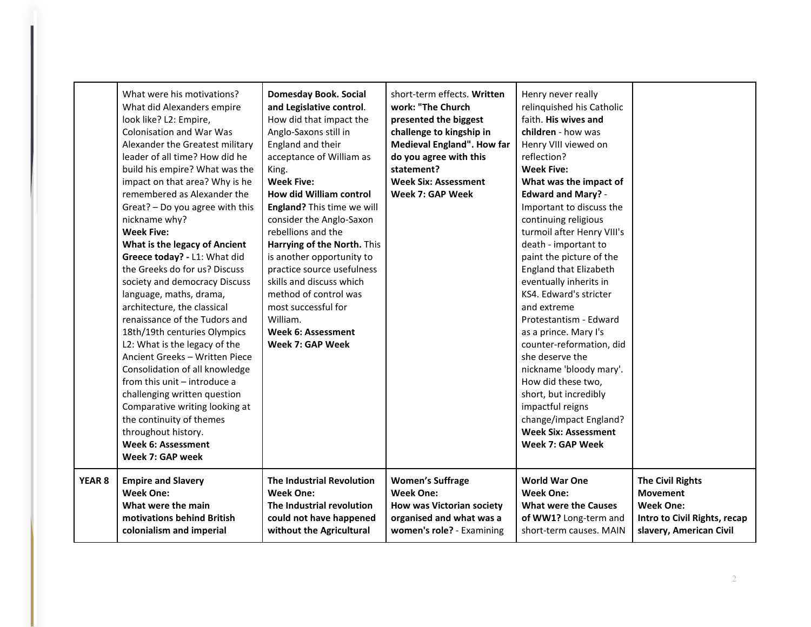|               | What were his motivations?<br>What did Alexanders empire<br>look like? L2: Empire,<br><b>Colonisation and War Was</b><br>Alexander the Greatest military<br>leader of all time? How did he<br>build his empire? What was the<br>impact on that area? Why is he<br>remembered as Alexander the<br>Great? - Do you agree with this<br>nickname why?<br><b>Week Five:</b><br>What is the legacy of Ancient<br>Greece today? - L1: What did<br>the Greeks do for us? Discuss<br>society and democracy Discuss<br>language, maths, drama,<br>architecture, the classical<br>renaissance of the Tudors and<br>18th/19th centuries Olympics<br>L2: What is the legacy of the<br>Ancient Greeks - Written Piece<br>Consolidation of all knowledge<br>from this unit - introduce a<br>challenging written question<br>Comparative writing looking at<br>the continuity of themes<br>throughout history.<br><b>Week 6: Assessment</b><br>Week 7: GAP week | <b>Domesday Book. Social</b><br>and Legislative control.<br>How did that impact the<br>Anglo-Saxons still in<br>England and their<br>acceptance of William as<br>King.<br><b>Week Five:</b><br>How did William control<br>England? This time we will<br>consider the Anglo-Saxon<br>rebellions and the<br>Harrying of the North. This<br>is another opportunity to<br>practice source usefulness<br>skills and discuss which<br>method of control was<br>most successful for<br>William.<br>Week 6: Assessment<br>Week 7: GAP Week | short-term effects. Written<br>work: "The Church<br>presented the biggest<br>challenge to kingship in<br>Medieval England". How far<br>do you agree with this<br>statement?<br><b>Week Six: Assessment</b><br>Week 7: GAP Week | Henry never really<br>relinquished his Catholic<br>faith. His wives and<br>children - how was<br>Henry VIII viewed on<br>reflection?<br><b>Week Five:</b><br>What was the impact of<br><b>Edward and Mary? -</b><br>Important to discuss the<br>continuing religious<br>turmoil after Henry VIII's<br>death - important to<br>paint the picture of the<br><b>England that Elizabeth</b><br>eventually inherits in<br>KS4. Edward's stricter<br>and extreme<br>Protestantism - Edward<br>as a prince. Mary I's<br>counter-reformation, did<br>she deserve the<br>nickname 'bloody mary'.<br>How did these two,<br>short, but incredibly<br>impactful reigns<br>change/impact England?<br><b>Week Six: Assessment</b><br>Week 7: GAP Week |                              |
|---------------|-------------------------------------------------------------------------------------------------------------------------------------------------------------------------------------------------------------------------------------------------------------------------------------------------------------------------------------------------------------------------------------------------------------------------------------------------------------------------------------------------------------------------------------------------------------------------------------------------------------------------------------------------------------------------------------------------------------------------------------------------------------------------------------------------------------------------------------------------------------------------------------------------------------------------------------------------|------------------------------------------------------------------------------------------------------------------------------------------------------------------------------------------------------------------------------------------------------------------------------------------------------------------------------------------------------------------------------------------------------------------------------------------------------------------------------------------------------------------------------------|--------------------------------------------------------------------------------------------------------------------------------------------------------------------------------------------------------------------------------|-----------------------------------------------------------------------------------------------------------------------------------------------------------------------------------------------------------------------------------------------------------------------------------------------------------------------------------------------------------------------------------------------------------------------------------------------------------------------------------------------------------------------------------------------------------------------------------------------------------------------------------------------------------------------------------------------------------------------------------------|------------------------------|
| <b>YEAR 8</b> | <b>Empire and Slavery</b>                                                                                                                                                                                                                                                                                                                                                                                                                                                                                                                                                                                                                                                                                                                                                                                                                                                                                                                       | <b>The Industrial Revolution</b>                                                                                                                                                                                                                                                                                                                                                                                                                                                                                                   | <b>Women's Suffrage</b>                                                                                                                                                                                                        | <b>World War One</b>                                                                                                                                                                                                                                                                                                                                                                                                                                                                                                                                                                                                                                                                                                                    | <b>The Civil Rights</b>      |
|               | <b>Week One:</b>                                                                                                                                                                                                                                                                                                                                                                                                                                                                                                                                                                                                                                                                                                                                                                                                                                                                                                                                | <b>Week One:</b>                                                                                                                                                                                                                                                                                                                                                                                                                                                                                                                   | <b>Week One:</b>                                                                                                                                                                                                               | <b>Week One:</b>                                                                                                                                                                                                                                                                                                                                                                                                                                                                                                                                                                                                                                                                                                                        | <b>Movement</b>              |
|               | What were the main                                                                                                                                                                                                                                                                                                                                                                                                                                                                                                                                                                                                                                                                                                                                                                                                                                                                                                                              | The Industrial revolution                                                                                                                                                                                                                                                                                                                                                                                                                                                                                                          | <b>How was Victorian society</b>                                                                                                                                                                                               | <b>What were the Causes</b>                                                                                                                                                                                                                                                                                                                                                                                                                                                                                                                                                                                                                                                                                                             | <b>Week One:</b>             |
|               | motivations behind British                                                                                                                                                                                                                                                                                                                                                                                                                                                                                                                                                                                                                                                                                                                                                                                                                                                                                                                      | could not have happened                                                                                                                                                                                                                                                                                                                                                                                                                                                                                                            | organised and what was a                                                                                                                                                                                                       | of WW1? Long-term and                                                                                                                                                                                                                                                                                                                                                                                                                                                                                                                                                                                                                                                                                                                   | Intro to Civil Rights, recap |
|               | colonialism and imperial                                                                                                                                                                                                                                                                                                                                                                                                                                                                                                                                                                                                                                                                                                                                                                                                                                                                                                                        | without the Agricultural                                                                                                                                                                                                                                                                                                                                                                                                                                                                                                           | women's role? - Examining                                                                                                                                                                                                      | short-term causes. MAIN                                                                                                                                                                                                                                                                                                                                                                                                                                                                                                                                                                                                                                                                                                                 | slavery, American Civil      |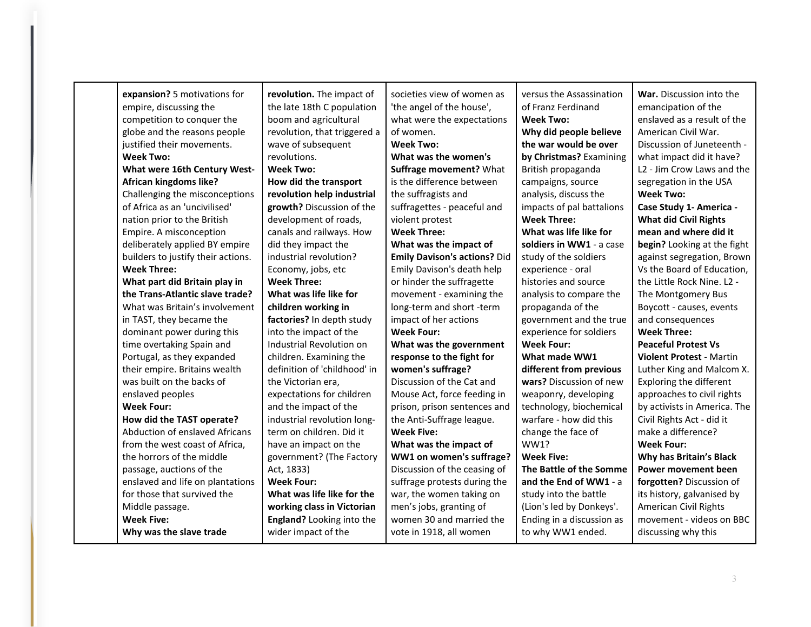| expansion? 5 motivations for<br>empire, discussing the<br>competition to conquer the<br>globe and the reasons people<br>justified their movements.<br><b>Week Two:</b> | revolution. The impact of<br>the late 18th C population<br>boom and agricultural<br>revolution, that triggered a<br>wave of subsequent<br>revolutions. | societies view of women as<br>'the angel of the house',<br>what were the expectations<br>of women.<br><b>Week Two:</b><br>What was the women's | versus the Assassination<br>of Franz Ferdinand<br><b>Week Two:</b><br>Why did people believe<br>the war would be over<br>by Christmas? Examining | War. Discussion into the<br>emancipation of the<br>enslaved as a result of the<br>American Civil War.<br>Discussion of Juneteenth -<br>what impact did it have? |
|------------------------------------------------------------------------------------------------------------------------------------------------------------------------|--------------------------------------------------------------------------------------------------------------------------------------------------------|------------------------------------------------------------------------------------------------------------------------------------------------|--------------------------------------------------------------------------------------------------------------------------------------------------|-----------------------------------------------------------------------------------------------------------------------------------------------------------------|
| What were 16th Century West-                                                                                                                                           | <b>Week Two:</b>                                                                                                                                       | Suffrage movement? What                                                                                                                        | British propaganda                                                                                                                               | L2 - Jim Crow Laws and the                                                                                                                                      |
| African kingdoms like?                                                                                                                                                 | How did the transport                                                                                                                                  | is the difference between                                                                                                                      | campaigns, source                                                                                                                                | segregation in the USA                                                                                                                                          |
| Challenging the misconceptions                                                                                                                                         | revolution help industrial                                                                                                                             | the suffragists and                                                                                                                            | analysis, discuss the                                                                                                                            | <b>Week Two:</b>                                                                                                                                                |
| of Africa as an 'uncivilised'                                                                                                                                          | growth? Discussion of the                                                                                                                              | suffragettes - peaceful and                                                                                                                    | impacts of pal battalions                                                                                                                        | Case Study 1- America -                                                                                                                                         |
| nation prior to the British                                                                                                                                            | development of roads,                                                                                                                                  | violent protest                                                                                                                                | <b>Week Three:</b>                                                                                                                               | <b>What did Civil Rights</b>                                                                                                                                    |
| Empire. A misconception                                                                                                                                                | canals and railways. How                                                                                                                               | <b>Week Three:</b>                                                                                                                             | What was life like for                                                                                                                           | mean and where did it                                                                                                                                           |
| deliberately applied BY empire                                                                                                                                         | did they impact the                                                                                                                                    | What was the impact of                                                                                                                         | soldiers in WW1 - a case                                                                                                                         | begin? Looking at the fight                                                                                                                                     |
| builders to justify their actions.                                                                                                                                     | industrial revolution?                                                                                                                                 | <b>Emily Davison's actions? Did</b>                                                                                                            | study of the soldiers                                                                                                                            | against segregation, Brown                                                                                                                                      |
| <b>Week Three:</b>                                                                                                                                                     | Economy, jobs, etc                                                                                                                                     | Emily Davison's death help                                                                                                                     | experience - oral                                                                                                                                | Vs the Board of Education,                                                                                                                                      |
| What part did Britain play in                                                                                                                                          | <b>Week Three:</b>                                                                                                                                     | or hinder the suffragette                                                                                                                      | histories and source                                                                                                                             | the Little Rock Nine. L2 -                                                                                                                                      |
| the Trans-Atlantic slave trade?                                                                                                                                        | What was life like for                                                                                                                                 | movement - examining the                                                                                                                       | analysis to compare the                                                                                                                          | The Montgomery Bus                                                                                                                                              |
| What was Britain's involvement                                                                                                                                         | children working in                                                                                                                                    | long-term and short -term                                                                                                                      | propaganda of the                                                                                                                                | Boycott - causes, events                                                                                                                                        |
| in TAST, they became the                                                                                                                                               | factories? In depth study                                                                                                                              | impact of her actions                                                                                                                          | government and the true                                                                                                                          | and consequences                                                                                                                                                |
| dominant power during this                                                                                                                                             | into the impact of the                                                                                                                                 | <b>Week Four:</b>                                                                                                                              | experience for soldiers                                                                                                                          | <b>Week Three:</b>                                                                                                                                              |
| time overtaking Spain and                                                                                                                                              | Industrial Revolution on                                                                                                                               | What was the government                                                                                                                        | <b>Week Four:</b>                                                                                                                                | <b>Peaceful Protest Vs</b>                                                                                                                                      |
| Portugal, as they expanded                                                                                                                                             | children. Examining the                                                                                                                                | response to the fight for                                                                                                                      | What made WW1                                                                                                                                    | <b>Violent Protest - Martin</b>                                                                                                                                 |
| their empire. Britains wealth                                                                                                                                          | definition of 'childhood' in                                                                                                                           | women's suffrage?                                                                                                                              | different from previous                                                                                                                          | Luther King and Malcom X.                                                                                                                                       |
| was built on the backs of                                                                                                                                              | the Victorian era,                                                                                                                                     | Discussion of the Cat and                                                                                                                      | wars? Discussion of new                                                                                                                          | Exploring the different                                                                                                                                         |
| enslaved peoples                                                                                                                                                       | expectations for children                                                                                                                              | Mouse Act, force feeding in                                                                                                                    | weaponry, developing                                                                                                                             | approaches to civil rights                                                                                                                                      |
| <b>Week Four:</b>                                                                                                                                                      | and the impact of the                                                                                                                                  | prison, prison sentences and                                                                                                                   | technology, biochemical                                                                                                                          | by activists in America. The                                                                                                                                    |
| How did the TAST operate?                                                                                                                                              | industrial revolution long-                                                                                                                            | the Anti-Suffrage league.                                                                                                                      | warfare - how did this                                                                                                                           | Civil Rights Act - did it                                                                                                                                       |
| Abduction of enslaved Africans                                                                                                                                         | term on children. Did it                                                                                                                               | <b>Week Five:</b>                                                                                                                              | change the face of                                                                                                                               | make a difference?                                                                                                                                              |
| from the west coast of Africa,                                                                                                                                         | have an impact on the                                                                                                                                  | What was the impact of                                                                                                                         | WW1?                                                                                                                                             | <b>Week Four:</b>                                                                                                                                               |
| the horrors of the middle                                                                                                                                              | government? (The Factory                                                                                                                               | WW1 on women's suffrage?                                                                                                                       | <b>Week Five:</b>                                                                                                                                | Why has Britain's Black                                                                                                                                         |
| passage, auctions of the                                                                                                                                               | Act, 1833)                                                                                                                                             | Discussion of the ceasing of                                                                                                                   | The Battle of the Somme                                                                                                                          | Power movement been                                                                                                                                             |
| enslaved and life on plantations                                                                                                                                       | <b>Week Four:</b>                                                                                                                                      | suffrage protests during the                                                                                                                   | and the End of WW1 - a                                                                                                                           | forgotten? Discussion of                                                                                                                                        |
| for those that survived the                                                                                                                                            | What was life like for the                                                                                                                             | war, the women taking on                                                                                                                       | study into the battle                                                                                                                            | its history, galvanised by                                                                                                                                      |
| Middle passage.                                                                                                                                                        | working class in Victorian                                                                                                                             | men's jobs, granting of                                                                                                                        | (Lion's led by Donkeys'.                                                                                                                         | American Civil Rights                                                                                                                                           |
| <b>Week Five:</b>                                                                                                                                                      | England? Looking into the                                                                                                                              | women 30 and married the                                                                                                                       | Ending in a discussion as                                                                                                                        | movement - videos on BBC                                                                                                                                        |
| Why was the slave trade                                                                                                                                                | wider impact of the                                                                                                                                    | vote in 1918, all women                                                                                                                        | to why WW1 ended.                                                                                                                                | discussing why this                                                                                                                                             |
|                                                                                                                                                                        |                                                                                                                                                        |                                                                                                                                                |                                                                                                                                                  |                                                                                                                                                                 |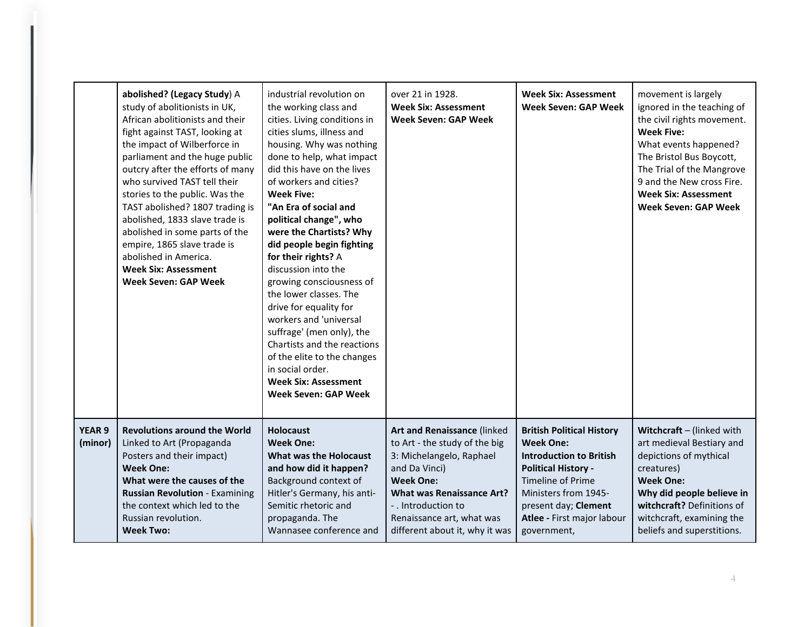|                          | abolished? (Legacy Study) A<br>study of abolitionists in UK,<br>African abolitionists and their<br>fight against TAST, looking at<br>the impact of Wilberforce in<br>parliament and the huge public<br>outcry after the efforts of many<br>who survived TAST tell their<br>stories to the public. Was the<br>TAST abolished? 1807 trading is<br>abolished, 1833 slave trade is<br>abolished in some parts of the<br>empire, 1865 slave trade is<br>abolished in America.<br><b>Week Six: Assessment</b><br><b>Week Seven: GAP Week</b> | industrial revolution on<br>the working class and<br>cities. Living conditions in<br>cities slums, illness and<br>housing. Why was nothing<br>done to help, what impact<br>did this have on the lives<br>of workers and cities?<br><b>Week Five:</b><br>"An Era of social and<br>political change", who<br>were the Chartists? Why<br>did people begin fighting<br>for their rights? A<br>discussion into the<br>growing consciousness of<br>the lower classes. The<br>drive for equality for<br>workers and 'universal<br>suffrage' (men only), the<br>Chartists and the reactions<br>of the elite to the changes<br>in social order.<br><b>Week Six: Assessment</b><br><b>Week Seven: GAP Week</b> | over 21 in 1928.<br><b>Week Six: Assessment</b><br><b>Week Seven: GAP Week</b>                                                                                                                                                                          | Week Six: Assessment<br><b>Week Seven: GAP Week</b>                                                                                                                                                                                    | movement is largely<br>ignored in the teaching of<br>the civil rights movement.<br><b>Week Five:</b><br>What events happened?<br>The Bristol Bus Boycott,<br>The Trial of the Mangrove<br>9 and the New cross Fire.<br><b>Week Six: Assessment</b><br><b>Week Seven: GAP Week</b> |
|--------------------------|----------------------------------------------------------------------------------------------------------------------------------------------------------------------------------------------------------------------------------------------------------------------------------------------------------------------------------------------------------------------------------------------------------------------------------------------------------------------------------------------------------------------------------------|------------------------------------------------------------------------------------------------------------------------------------------------------------------------------------------------------------------------------------------------------------------------------------------------------------------------------------------------------------------------------------------------------------------------------------------------------------------------------------------------------------------------------------------------------------------------------------------------------------------------------------------------------------------------------------------------------|---------------------------------------------------------------------------------------------------------------------------------------------------------------------------------------------------------------------------------------------------------|----------------------------------------------------------------------------------------------------------------------------------------------------------------------------------------------------------------------------------------|-----------------------------------------------------------------------------------------------------------------------------------------------------------------------------------------------------------------------------------------------------------------------------------|
| <b>YEAR 9</b><br>(minor) | <b>Revolutions around the World</b><br>Linked to Art (Propaganda<br>Posters and their impact)<br><b>Week One:</b><br>What were the causes of the<br><b>Russian Revolution - Examining</b><br>the context which led to the<br>Russian revolution.<br><b>Week Two:</b>                                                                                                                                                                                                                                                                   | <b>Holocaust</b><br><b>Week One:</b><br><b>What was the Holocaust</b><br>and how did it happen?<br>Background context of<br>Hitler's Germany, his anti-<br>Semitic rhetoric and<br>propaganda. The<br>Wannasee conference and                                                                                                                                                                                                                                                                                                                                                                                                                                                                        | Art and Renaissance (linked<br>to Art - the study of the big<br>3: Michelangelo, Raphael<br>and Da Vinci)<br><b>Week One:</b><br><b>What was Renaissance Art?</b><br>- . Introduction to<br>Renaissance art, what was<br>different about it, why it was | <b>British Political History</b><br><b>Week One:</b><br><b>Introduction to British</b><br><b>Political History -</b><br>Timeline of Prime<br>Ministers from 1945-<br>present day; Clement<br>Atlee - First major labour<br>government, | Witchcraft - (linked with<br>art medieval Bestiary and<br>depictions of mythical<br>creatures)<br><b>Week One:</b><br>Why did people believe in<br>witchcraft? Definitions of<br>witchcraft, examining the<br>beliefs and superstitions.                                          |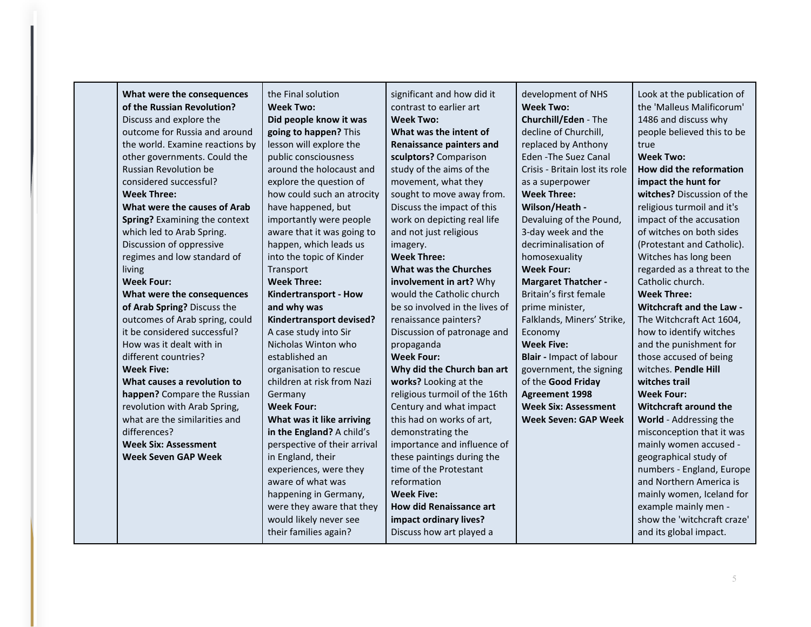| What were the consequences      | the Final solution           | significant and how did it      | development of NHS              | Look at the publication of   |
|---------------------------------|------------------------------|---------------------------------|---------------------------------|------------------------------|
| of the Russian Revolution?      | <b>Week Two:</b>             | contrast to earlier art         | <b>Week Two:</b>                | the 'Malleus Malificorum'    |
| Discuss and explore the         | Did people know it was       | <b>Week Two:</b>                | <b>Churchill/Eden - The</b>     | 1486 and discuss why         |
| outcome for Russia and around   | going to happen? This        | What was the intent of          | decline of Churchill,           | people believed this to be   |
| the world. Examine reactions by | lesson will explore the      | <b>Renaissance painters and</b> | replaced by Anthony             | true                         |
| other governments. Could the    | public consciousness         | sculptors? Comparison           | <b>Eden - The Suez Canal</b>    | <b>Week Two:</b>             |
| Russian Revolution be           | around the holocaust and     | study of the aims of the        | Crisis - Britain lost its role  | How did the reformation      |
| considered successful?          | explore the question of      | movement, what they             | as a superpower                 | impact the hunt for          |
| <b>Week Three:</b>              | how could such an atrocity   | sought to move away from.       | <b>Week Three:</b>              | witches? Discussion of the   |
| What were the causes of Arab    | have happened, but           | Discuss the impact of this      | Wilson/Heath -                  | religious turmoil and it's   |
| Spring? Examining the context   | importantly were people      | work on depicting real life     | Devaluing of the Pound,         | impact of the accusation     |
| which led to Arab Spring.       | aware that it was going to   | and not just religious          | 3-day week and the              | of witches on both sides     |
| Discussion of oppressive        | happen, which leads us       | imagery.                        | decriminalisation of            | (Protestant and Catholic).   |
| regimes and low standard of     | into the topic of Kinder     | <b>Week Three:</b>              | homosexuality                   | Witches has long been        |
| living                          | Transport                    | <b>What was the Churches</b>    | <b>Week Four:</b>               | regarded as a threat to the  |
| <b>Week Four:</b>               | <b>Week Three:</b>           | involvement in art? Why         | <b>Margaret Thatcher -</b>      | Catholic church.             |
| What were the consequences      | Kindertransport - How        | would the Catholic church       | Britain's first female          | <b>Week Three:</b>           |
| of Arab Spring? Discuss the     | and why was                  | be so involved in the lives of  | prime minister,                 | Witchcraft and the Law -     |
| outcomes of Arab spring, could  | Kindertransport devised?     | renaissance painters?           | Falklands, Miners' Strike,      | The Witchcraft Act 1604,     |
| it be considered successful?    | A case study into Sir        | Discussion of patronage and     | Economy                         | how to identify witches      |
| How was it dealt with in        | Nicholas Winton who          | propaganda                      | <b>Week Five:</b>               | and the punishment for       |
| different countries?            | established an               | <b>Week Four:</b>               | <b>Blair</b> - Impact of labour | those accused of being       |
| <b>Week Five:</b>               | organisation to rescue       | Why did the Church ban art      | government, the signing         | witches. Pendle Hill         |
| What causes a revolution to     | children at risk from Nazi   | works? Looking at the           | of the Good Friday              | witches trail                |
| happen? Compare the Russian     | Germany                      | religious turmoil of the 16th   | <b>Agreement 1998</b>           | <b>Week Four:</b>            |
| revolution with Arab Spring,    | <b>Week Four:</b>            | Century and what impact         | <b>Week Six: Assessment</b>     | <b>Witchcraft around the</b> |
| what are the similarities and   | What was it like arriving    | this had on works of art,       | <b>Week Seven: GAP Week</b>     | World - Addressing the       |
| differences?                    | in the England? A child's    | demonstrating the               |                                 | misconception that it was    |
| <b>Week Six: Assessment</b>     | perspective of their arrival | importance and influence of     |                                 | mainly women accused -       |
| <b>Week Seven GAP Week</b>      | in England, their            | these paintings during the      |                                 | geographical study of        |
|                                 | experiences, were they       | time of the Protestant          |                                 | numbers - England, Europe    |
|                                 | aware of what was            | reformation                     |                                 | and Northern America is      |
|                                 | happening in Germany,        | <b>Week Five:</b>               |                                 | mainly women, Iceland for    |
|                                 | were they aware that they    | <b>How did Renaissance art</b>  |                                 | example mainly men -         |
|                                 | would likely never see       | impact ordinary lives?          |                                 | show the 'witchcraft craze'  |
|                                 | their families again?        | Discuss how art played a        |                                 | and its global impact.       |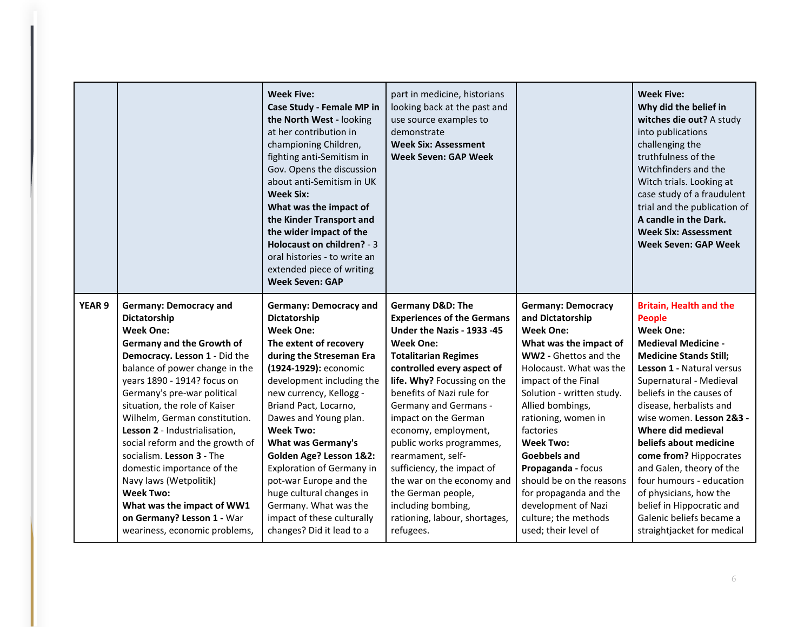|                   |                                 | <b>Week Five:</b><br>Case Study - Female MP in<br>the North West - looking<br>at her contribution in<br>championing Children,<br>fighting anti-Semitism in<br>Gov. Opens the discussion<br>about anti-Semitism in UK<br><b>Week Six:</b><br>What was the impact of<br>the Kinder Transport and<br>the wider impact of the<br>Holocaust on children? - 3<br>oral histories - to write an<br>extended piece of writing<br><b>Week Seven: GAP</b> | part in medicine, historians<br>looking back at the past and<br>use source examples to<br>demonstrate<br><b>Week Six: Assessment</b><br><b>Week Seven: GAP Week</b> |                           | <b>Week Five:</b><br>Why did the belief in<br>witches die out? A study<br>into publications<br>challenging the<br>truthfulness of the<br>Witchfinders and the<br>Witch trials. Looking at<br>case study of a fraudulent<br>trial and the publication of<br>A candle in the Dark.<br><b>Week Six: Assessment</b><br><b>Week Seven: GAP Week</b> |
|-------------------|---------------------------------|------------------------------------------------------------------------------------------------------------------------------------------------------------------------------------------------------------------------------------------------------------------------------------------------------------------------------------------------------------------------------------------------------------------------------------------------|---------------------------------------------------------------------------------------------------------------------------------------------------------------------|---------------------------|------------------------------------------------------------------------------------------------------------------------------------------------------------------------------------------------------------------------------------------------------------------------------------------------------------------------------------------------|
| YEAR <sub>9</sub> | <b>Germany: Democracy and</b>   | <b>Germany: Democracy and</b>                                                                                                                                                                                                                                                                                                                                                                                                                  | <b>Germany D&amp;D: The</b>                                                                                                                                         | <b>Germany: Democracy</b> | <b>Britain, Health and the</b>                                                                                                                                                                                                                                                                                                                 |
|                   | Dictatorship                    | Dictatorship                                                                                                                                                                                                                                                                                                                                                                                                                                   | <b>Experiences of the Germans</b>                                                                                                                                   | and Dictatorship          | <b>People</b>                                                                                                                                                                                                                                                                                                                                  |
|                   | <b>Week One:</b>                | <b>Week One:</b>                                                                                                                                                                                                                                                                                                                                                                                                                               | Under the Nazis - 1933 - 45                                                                                                                                         | <b>Week One:</b>          | <b>Week One:</b>                                                                                                                                                                                                                                                                                                                               |
|                   | Germany and the Growth of       | The extent of recovery                                                                                                                                                                                                                                                                                                                                                                                                                         | <b>Week One:</b>                                                                                                                                                    | What was the impact of    | <b>Medieval Medicine -</b>                                                                                                                                                                                                                                                                                                                     |
|                   | Democracy. Lesson 1 - Did the   | during the Streseman Era                                                                                                                                                                                                                                                                                                                                                                                                                       | <b>Totalitarian Regimes</b>                                                                                                                                         | WW2 - Ghettos and the     | <b>Medicine Stands Still;</b>                                                                                                                                                                                                                                                                                                                  |
|                   | balance of power change in the  | (1924-1929): economic                                                                                                                                                                                                                                                                                                                                                                                                                          | controlled every aspect of                                                                                                                                          | Holocaust. What was the   | Lesson 1 - Natural versus                                                                                                                                                                                                                                                                                                                      |
|                   | years 1890 - 1914? focus on     | development including the                                                                                                                                                                                                                                                                                                                                                                                                                      | life. Why? Focussing on the                                                                                                                                         | impact of the Final       | Supernatural - Medieval                                                                                                                                                                                                                                                                                                                        |
|                   | Germany's pre-war political     | new currency, Kellogg -                                                                                                                                                                                                                                                                                                                                                                                                                        | benefits of Nazi rule for                                                                                                                                           | Solution - written study. | beliefs in the causes of                                                                                                                                                                                                                                                                                                                       |
|                   | situation, the role of Kaiser   | Briand Pact, Locarno,                                                                                                                                                                                                                                                                                                                                                                                                                          | <b>Germany and Germans -</b>                                                                                                                                        | Allied bombings,          | disease, herbalists and                                                                                                                                                                                                                                                                                                                        |
|                   | Wilhelm, German constitution.   | Dawes and Young plan.                                                                                                                                                                                                                                                                                                                                                                                                                          | impact on the German                                                                                                                                                | rationing, women in       | wise women. Lesson 2&3 -                                                                                                                                                                                                                                                                                                                       |
|                   | Lesson 2 - Industrialisation,   | <b>Week Two:</b>                                                                                                                                                                                                                                                                                                                                                                                                                               | economy, employment,                                                                                                                                                | factories                 | Where did medieval                                                                                                                                                                                                                                                                                                                             |
|                   | social reform and the growth of | <b>What was Germany's</b>                                                                                                                                                                                                                                                                                                                                                                                                                      | public works programmes,                                                                                                                                            | <b>Week Two:</b>          | beliefs about medicine                                                                                                                                                                                                                                                                                                                         |
|                   | socialism. Lesson 3 - The       | Golden Age? Lesson 1&2:                                                                                                                                                                                                                                                                                                                                                                                                                        | rearmament, self-                                                                                                                                                   | <b>Goebbels and</b>       | come from? Hippocrates                                                                                                                                                                                                                                                                                                                         |
|                   | domestic importance of the      | <b>Exploration of Germany in</b>                                                                                                                                                                                                                                                                                                                                                                                                               | sufficiency, the impact of                                                                                                                                          | Propaganda - focus        | and Galen, theory of the                                                                                                                                                                                                                                                                                                                       |
|                   | Navy laws (Wetpolitik)          | pot-war Europe and the                                                                                                                                                                                                                                                                                                                                                                                                                         | the war on the economy and                                                                                                                                          | should be on the reasons  | four humours - education                                                                                                                                                                                                                                                                                                                       |
|                   | <b>Week Two:</b>                | huge cultural changes in                                                                                                                                                                                                                                                                                                                                                                                                                       | the German people,                                                                                                                                                  | for propaganda and the    | of physicians, how the                                                                                                                                                                                                                                                                                                                         |
|                   | What was the impact of WW1      | Germany. What was the                                                                                                                                                                                                                                                                                                                                                                                                                          | including bombing,                                                                                                                                                  | development of Nazi       | belief in Hippocratic and                                                                                                                                                                                                                                                                                                                      |
|                   | on Germany? Lesson 1 - War      | impact of these culturally                                                                                                                                                                                                                                                                                                                                                                                                                     | rationing, labour, shortages,                                                                                                                                       | culture; the methods      | Galenic beliefs became a                                                                                                                                                                                                                                                                                                                       |
|                   | weariness, economic problems,   | changes? Did it lead to a                                                                                                                                                                                                                                                                                                                                                                                                                      | refugees.                                                                                                                                                           | used; their level of      | straightjacket for medical                                                                                                                                                                                                                                                                                                                     |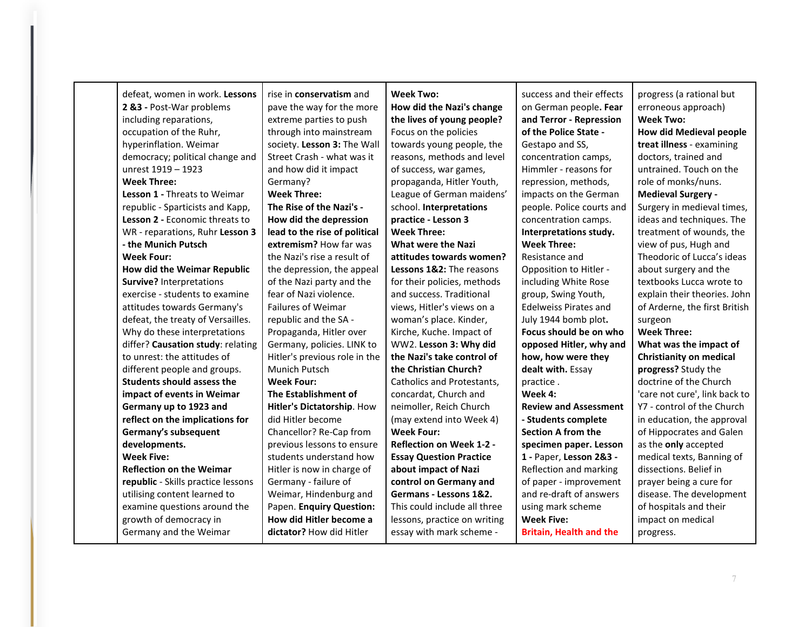| defeat, women in work. Lessons      | rise in <b>conservatism</b> and | <b>Week Two:</b>                | success and their effects      | progress (a rational but       |
|-------------------------------------|---------------------------------|---------------------------------|--------------------------------|--------------------------------|
| 2 &3 - Post-War problems            | pave the way for the more       | How did the Nazi's change       | on German people. Fear         | erroneous approach)            |
| including reparations,              | extreme parties to push         | the lives of young people?      | and Terror - Repression        | <b>Week Two:</b>               |
| occupation of the Ruhr,             | through into mainstream         | Focus on the policies           | of the Police State -          | <b>How did Medieval people</b> |
| hyperinflation. Weimar              | society. Lesson 3: The Wall     | towards young people, the       | Gestapo and SS,                | treat illness - examining      |
| democracy; political change and     | Street Crash - what was it      | reasons, methods and level      | concentration camps,           | doctors, trained and           |
| unrest 1919 - 1923                  | and how did it impact           | of success, war games,          | Himmler - reasons for          | untrained. Touch on the        |
| <b>Week Three:</b>                  | Germany?                        | propaganda, Hitler Youth,       | repression, methods,           | role of monks/nuns.            |
| <b>Lesson 1 - Threats to Weimar</b> | <b>Week Three:</b>              | League of German maidens'       | impacts on the German          | <b>Medieval Surgery -</b>      |
| republic - Sparticists and Kapp,    | The Rise of the Nazi's -        | school. Interpretations         | people. Police courts and      | Surgery in medieval times,     |
| Lesson 2 - Economic threats to      | How did the depression          | practice - Lesson 3             | concentration camps.           | ideas and techniques. The      |
| WR - reparations, Ruhr Lesson 3     | lead to the rise of political   | <b>Week Three:</b>              | Interpretations study.         | treatment of wounds, the       |
| - the Munich Putsch                 | extremism? How far was          | <b>What were the Nazi</b>       | <b>Week Three:</b>             | view of pus, Hugh and          |
| <b>Week Four:</b>                   | the Nazi's rise a result of     | attitudes towards women?        | Resistance and                 | Theodoric of Lucca's ideas     |
| How did the Weimar Republic         | the depression, the appeal      | Lessons 1&2: The reasons        | Opposition to Hitler -         | about surgery and the          |
| <b>Survive?</b> Interpretations     | of the Nazi party and the       | for their policies, methods     | including White Rose           | textbooks Lucca wrote to       |
| exercise - students to examine      | fear of Nazi violence.          | and success. Traditional        | group, Swing Youth,            | explain their theories. John   |
| attitudes towards Germany's         | <b>Failures of Weimar</b>       | views, Hitler's views on a      | <b>Edelweiss Pirates and</b>   | of Arderne, the first British  |
| defeat, the treaty of Versailles.   | republic and the SA -           | woman's place. Kinder,          | July 1944 bomb plot.           | surgeon                        |
| Why do these interpretations        | Propaganda, Hitler over         | Kirche, Kuche. Impact of        | Focus should be on who         | <b>Week Three:</b>             |
| differ? Causation study: relating   | Germany, policies. LINK to      | WW2. Lesson 3: Why did          | opposed Hitler, why and        | What was the impact of         |
| to unrest: the attitudes of         | Hitler's previous role in the   | the Nazi's take control of      | how, how were they             | <b>Christianity on medical</b> |
| different people and groups.        | Munich Putsch                   | the Christian Church?           | dealt with. Essay              | progress? Study the            |
| <b>Students should assess the</b>   | <b>Week Four:</b>               | Catholics and Protestants,      | practice.                      | doctrine of the Church         |
| impact of events in Weimar          | The Establishment of            | concardat, Church and           | Week 4:                        | 'care not cure', link back to  |
| Germany up to 1923 and              | Hitler's Dictatorship. How      | neimoller, Reich Church         | <b>Review and Assessment</b>   | Y7 - control of the Church     |
| reflect on the implications for     | did Hitler become               | (may extend into Week 4)        | - Students complete            | in education, the approval     |
| Germany's subsequent                | Chancellor? Re-Cap from         | <b>Week Four:</b>               | <b>Section A from the</b>      | of Hippocrates and Galen       |
| developments.                       | previous lessons to ensure      | <b>Reflection on Week 1-2 -</b> | specimen paper. Lesson         | as the only accepted           |
| <b>Week Five:</b>                   | students understand how         | <b>Essay Question Practice</b>  | 1 - Paper, Lesson 2&3 -        | medical texts, Banning of      |
| <b>Reflection on the Weimar</b>     | Hitler is now in charge of      | about impact of Nazi            | Reflection and marking         | dissections. Belief in         |
| republic - Skills practice lessons  | Germany - failure of            | control on Germany and          | of paper - improvement         | prayer being a cure for        |
| utilising content learned to        | Weimar, Hindenburg and          | Germans - Lessons 1&2.          | and re-draft of answers        | disease. The development       |
| examine questions around the        | Papen. Enquiry Question:        | This could include all three    | using mark scheme              | of hospitals and their         |
| growth of democracy in              | How did Hitler become a         | lessons, practice on writing    | <b>Week Five:</b>              | impact on medical              |
| Germany and the Weimar              | dictator? How did Hitler        | essay with mark scheme -        | <b>Britain, Health and the</b> | progress.                      |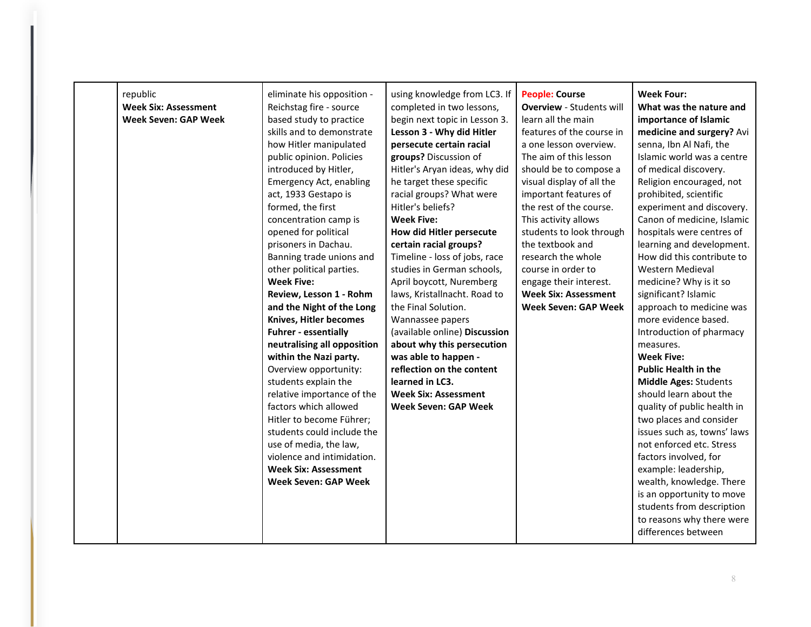| republic<br><b>Week Six: Assessment</b><br><b>Week Seven: GAP Week</b> | eliminate his opposition -<br>Reichstag fire - source<br>based study to practice<br>skills and to demonstrate<br>how Hitler manipulated<br>public opinion. Policies<br>introduced by Hitler,<br><b>Emergency Act, enabling</b><br>act, 1933 Gestapo is<br>formed, the first<br>concentration camp is<br>opened for political<br>prisoners in Dachau.<br>Banning trade unions and<br>other political parties.<br><b>Week Five:</b> | using knowledge from LC3. If<br>completed in two lessons,<br>begin next topic in Lesson 3.<br>Lesson 3 - Why did Hitler<br>persecute certain racial<br>groups? Discussion of<br>Hitler's Aryan ideas, why did<br>he target these specific<br>racial groups? What were<br>Hitler's beliefs?<br><b>Week Five:</b><br>How did Hitler persecute<br>certain racial groups?<br>Timeline - loss of jobs, race<br>studies in German schools,<br>April boycott, Nuremberg | <b>People: Course</b><br><b>Overview - Students will</b><br>learn all the main<br>features of the course in<br>a one lesson overview.<br>The aim of this lesson<br>should be to compose a<br>visual display of all the<br>important features of<br>the rest of the course.<br>This activity allows<br>students to look through<br>the textbook and<br>research the whole<br>course in order to<br>engage their interest. | Week Four:<br>What was the nature and<br>importance of Islamic<br>medicine and surgery? Avi<br>senna, Ibn Al Nafi, the<br>Islamic world was a centre<br>of medical discovery.<br>Religion encouraged, not<br>prohibited, scientific<br>experiment and discovery.<br>Canon of medicine, Islamic<br>hospitals were centres of<br>learning and development.<br>How did this contribute to<br>Western Medieval<br>medicine? Why is it so |
|------------------------------------------------------------------------|-----------------------------------------------------------------------------------------------------------------------------------------------------------------------------------------------------------------------------------------------------------------------------------------------------------------------------------------------------------------------------------------------------------------------------------|------------------------------------------------------------------------------------------------------------------------------------------------------------------------------------------------------------------------------------------------------------------------------------------------------------------------------------------------------------------------------------------------------------------------------------------------------------------|--------------------------------------------------------------------------------------------------------------------------------------------------------------------------------------------------------------------------------------------------------------------------------------------------------------------------------------------------------------------------------------------------------------------------|--------------------------------------------------------------------------------------------------------------------------------------------------------------------------------------------------------------------------------------------------------------------------------------------------------------------------------------------------------------------------------------------------------------------------------------|
|                                                                        |                                                                                                                                                                                                                                                                                                                                                                                                                                   |                                                                                                                                                                                                                                                                                                                                                                                                                                                                  |                                                                                                                                                                                                                                                                                                                                                                                                                          |                                                                                                                                                                                                                                                                                                                                                                                                                                      |
|                                                                        |                                                                                                                                                                                                                                                                                                                                                                                                                                   |                                                                                                                                                                                                                                                                                                                                                                                                                                                                  |                                                                                                                                                                                                                                                                                                                                                                                                                          |                                                                                                                                                                                                                                                                                                                                                                                                                                      |
|                                                                        |                                                                                                                                                                                                                                                                                                                                                                                                                                   |                                                                                                                                                                                                                                                                                                                                                                                                                                                                  |                                                                                                                                                                                                                                                                                                                                                                                                                          |                                                                                                                                                                                                                                                                                                                                                                                                                                      |
|                                                                        |                                                                                                                                                                                                                                                                                                                                                                                                                                   |                                                                                                                                                                                                                                                                                                                                                                                                                                                                  |                                                                                                                                                                                                                                                                                                                                                                                                                          |                                                                                                                                                                                                                                                                                                                                                                                                                                      |
|                                                                        |                                                                                                                                                                                                                                                                                                                                                                                                                                   |                                                                                                                                                                                                                                                                                                                                                                                                                                                                  |                                                                                                                                                                                                                                                                                                                                                                                                                          |                                                                                                                                                                                                                                                                                                                                                                                                                                      |
|                                                                        |                                                                                                                                                                                                                                                                                                                                                                                                                                   |                                                                                                                                                                                                                                                                                                                                                                                                                                                                  |                                                                                                                                                                                                                                                                                                                                                                                                                          |                                                                                                                                                                                                                                                                                                                                                                                                                                      |
|                                                                        |                                                                                                                                                                                                                                                                                                                                                                                                                                   |                                                                                                                                                                                                                                                                                                                                                                                                                                                                  |                                                                                                                                                                                                                                                                                                                                                                                                                          |                                                                                                                                                                                                                                                                                                                                                                                                                                      |
|                                                                        |                                                                                                                                                                                                                                                                                                                                                                                                                                   |                                                                                                                                                                                                                                                                                                                                                                                                                                                                  |                                                                                                                                                                                                                                                                                                                                                                                                                          |                                                                                                                                                                                                                                                                                                                                                                                                                                      |
|                                                                        |                                                                                                                                                                                                                                                                                                                                                                                                                                   |                                                                                                                                                                                                                                                                                                                                                                                                                                                                  |                                                                                                                                                                                                                                                                                                                                                                                                                          |                                                                                                                                                                                                                                                                                                                                                                                                                                      |
|                                                                        |                                                                                                                                                                                                                                                                                                                                                                                                                                   |                                                                                                                                                                                                                                                                                                                                                                                                                                                                  |                                                                                                                                                                                                                                                                                                                                                                                                                          |                                                                                                                                                                                                                                                                                                                                                                                                                                      |
|                                                                        |                                                                                                                                                                                                                                                                                                                                                                                                                                   |                                                                                                                                                                                                                                                                                                                                                                                                                                                                  |                                                                                                                                                                                                                                                                                                                                                                                                                          |                                                                                                                                                                                                                                                                                                                                                                                                                                      |
|                                                                        | Review, Lesson 1 - Rohm                                                                                                                                                                                                                                                                                                                                                                                                           | laws, Kristallnacht. Road to<br>the Final Solution.                                                                                                                                                                                                                                                                                                                                                                                                              | <b>Week Six: Assessment</b><br><b>Week Seven: GAP Week</b>                                                                                                                                                                                                                                                                                                                                                               | significant? Islamic<br>approach to medicine was                                                                                                                                                                                                                                                                                                                                                                                     |
|                                                                        | and the Night of the Long<br>Knives, Hitler becomes                                                                                                                                                                                                                                                                                                                                                                               | Wannassee papers                                                                                                                                                                                                                                                                                                                                                                                                                                                 |                                                                                                                                                                                                                                                                                                                                                                                                                          | more evidence based.                                                                                                                                                                                                                                                                                                                                                                                                                 |
|                                                                        | <b>Fuhrer - essentially</b>                                                                                                                                                                                                                                                                                                                                                                                                       | (available online) Discussion                                                                                                                                                                                                                                                                                                                                                                                                                                    |                                                                                                                                                                                                                                                                                                                                                                                                                          | Introduction of pharmacy                                                                                                                                                                                                                                                                                                                                                                                                             |
|                                                                        | neutralising all opposition                                                                                                                                                                                                                                                                                                                                                                                                       | about why this persecution                                                                                                                                                                                                                                                                                                                                                                                                                                       |                                                                                                                                                                                                                                                                                                                                                                                                                          | measures.                                                                                                                                                                                                                                                                                                                                                                                                                            |
|                                                                        | within the Nazi party.                                                                                                                                                                                                                                                                                                                                                                                                            | was able to happen -                                                                                                                                                                                                                                                                                                                                                                                                                                             |                                                                                                                                                                                                                                                                                                                                                                                                                          | <b>Week Five:</b>                                                                                                                                                                                                                                                                                                                                                                                                                    |
|                                                                        | Overview opportunity:                                                                                                                                                                                                                                                                                                                                                                                                             | reflection on the content                                                                                                                                                                                                                                                                                                                                                                                                                                        |                                                                                                                                                                                                                                                                                                                                                                                                                          | <b>Public Health in the</b>                                                                                                                                                                                                                                                                                                                                                                                                          |
|                                                                        | students explain the                                                                                                                                                                                                                                                                                                                                                                                                              | learned in LC3.                                                                                                                                                                                                                                                                                                                                                                                                                                                  |                                                                                                                                                                                                                                                                                                                                                                                                                          | <b>Middle Ages: Students</b>                                                                                                                                                                                                                                                                                                                                                                                                         |
|                                                                        | relative importance of the                                                                                                                                                                                                                                                                                                                                                                                                        | <b>Week Six: Assessment</b>                                                                                                                                                                                                                                                                                                                                                                                                                                      |                                                                                                                                                                                                                                                                                                                                                                                                                          | should learn about the                                                                                                                                                                                                                                                                                                                                                                                                               |
|                                                                        | factors which allowed                                                                                                                                                                                                                                                                                                                                                                                                             | <b>Week Seven: GAP Week</b>                                                                                                                                                                                                                                                                                                                                                                                                                                      |                                                                                                                                                                                                                                                                                                                                                                                                                          | quality of public health in                                                                                                                                                                                                                                                                                                                                                                                                          |
|                                                                        | Hitler to become Führer;                                                                                                                                                                                                                                                                                                                                                                                                          |                                                                                                                                                                                                                                                                                                                                                                                                                                                                  |                                                                                                                                                                                                                                                                                                                                                                                                                          | two places and consider                                                                                                                                                                                                                                                                                                                                                                                                              |
|                                                                        | students could include the                                                                                                                                                                                                                                                                                                                                                                                                        |                                                                                                                                                                                                                                                                                                                                                                                                                                                                  |                                                                                                                                                                                                                                                                                                                                                                                                                          | issues such as, towns' laws                                                                                                                                                                                                                                                                                                                                                                                                          |
|                                                                        | use of media, the law,                                                                                                                                                                                                                                                                                                                                                                                                            |                                                                                                                                                                                                                                                                                                                                                                                                                                                                  |                                                                                                                                                                                                                                                                                                                                                                                                                          | not enforced etc. Stress                                                                                                                                                                                                                                                                                                                                                                                                             |
|                                                                        | violence and intimidation.                                                                                                                                                                                                                                                                                                                                                                                                        |                                                                                                                                                                                                                                                                                                                                                                                                                                                                  |                                                                                                                                                                                                                                                                                                                                                                                                                          | factors involved, for                                                                                                                                                                                                                                                                                                                                                                                                                |
|                                                                        | <b>Week Six: Assessment</b><br><b>Week Seven: GAP Week</b>                                                                                                                                                                                                                                                                                                                                                                        |                                                                                                                                                                                                                                                                                                                                                                                                                                                                  |                                                                                                                                                                                                                                                                                                                                                                                                                          | example: leadership,                                                                                                                                                                                                                                                                                                                                                                                                                 |
|                                                                        |                                                                                                                                                                                                                                                                                                                                                                                                                                   |                                                                                                                                                                                                                                                                                                                                                                                                                                                                  |                                                                                                                                                                                                                                                                                                                                                                                                                          | wealth, knowledge. There<br>is an opportunity to move                                                                                                                                                                                                                                                                                                                                                                                |
|                                                                        |                                                                                                                                                                                                                                                                                                                                                                                                                                   |                                                                                                                                                                                                                                                                                                                                                                                                                                                                  |                                                                                                                                                                                                                                                                                                                                                                                                                          | students from description                                                                                                                                                                                                                                                                                                                                                                                                            |
|                                                                        |                                                                                                                                                                                                                                                                                                                                                                                                                                   |                                                                                                                                                                                                                                                                                                                                                                                                                                                                  |                                                                                                                                                                                                                                                                                                                                                                                                                          | to reasons why there were                                                                                                                                                                                                                                                                                                                                                                                                            |
|                                                                        |                                                                                                                                                                                                                                                                                                                                                                                                                                   |                                                                                                                                                                                                                                                                                                                                                                                                                                                                  |                                                                                                                                                                                                                                                                                                                                                                                                                          | differences between                                                                                                                                                                                                                                                                                                                                                                                                                  |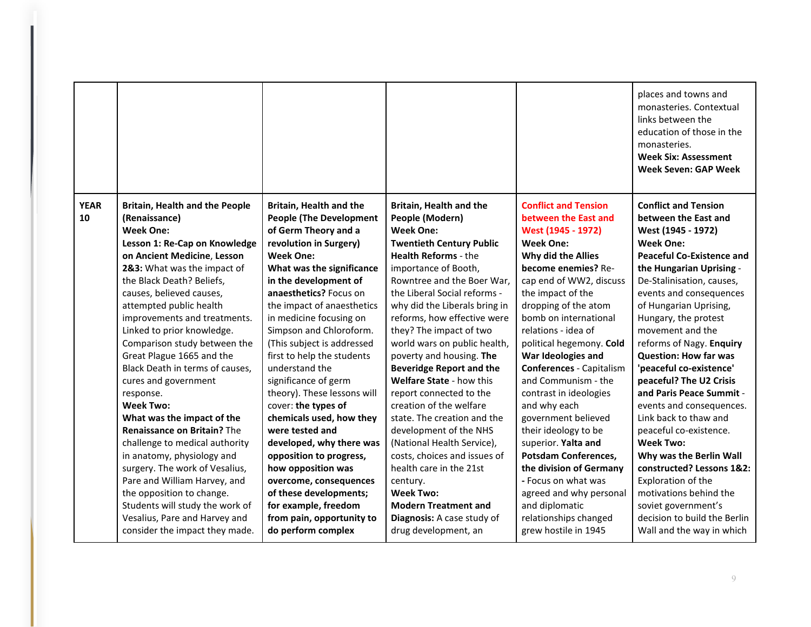|                                                                                                                                                                                                                                                                                                                                                                                                                                                                                                                                                                                                                                                                                                                                                                                                                                             |                                                                                                                                                                                                                                                                                                                                                                                                                                                                                                                                                                                                                                                                                                                                   |                                                                                                                                                                                                                                                                                                                                                                                                                                                                                                                                                                                                                                                                                                                                                                           |                                                                                                                                                                                                                                                                                                                                                                                                                                                                                                                                                                                                                                                                               | places and towns and<br>monasteries. Contextual<br>links between the<br>education of those in the<br>monasteries.<br><b>Week Six: Assessment</b><br><b>Week Seven: GAP Week</b>                                                                                                                                                                                                                                                                                                                                                                                                                                                                                                                                                          |
|---------------------------------------------------------------------------------------------------------------------------------------------------------------------------------------------------------------------------------------------------------------------------------------------------------------------------------------------------------------------------------------------------------------------------------------------------------------------------------------------------------------------------------------------------------------------------------------------------------------------------------------------------------------------------------------------------------------------------------------------------------------------------------------------------------------------------------------------|-----------------------------------------------------------------------------------------------------------------------------------------------------------------------------------------------------------------------------------------------------------------------------------------------------------------------------------------------------------------------------------------------------------------------------------------------------------------------------------------------------------------------------------------------------------------------------------------------------------------------------------------------------------------------------------------------------------------------------------|---------------------------------------------------------------------------------------------------------------------------------------------------------------------------------------------------------------------------------------------------------------------------------------------------------------------------------------------------------------------------------------------------------------------------------------------------------------------------------------------------------------------------------------------------------------------------------------------------------------------------------------------------------------------------------------------------------------------------------------------------------------------------|-------------------------------------------------------------------------------------------------------------------------------------------------------------------------------------------------------------------------------------------------------------------------------------------------------------------------------------------------------------------------------------------------------------------------------------------------------------------------------------------------------------------------------------------------------------------------------------------------------------------------------------------------------------------------------|------------------------------------------------------------------------------------------------------------------------------------------------------------------------------------------------------------------------------------------------------------------------------------------------------------------------------------------------------------------------------------------------------------------------------------------------------------------------------------------------------------------------------------------------------------------------------------------------------------------------------------------------------------------------------------------------------------------------------------------|
| <b>YEAR</b><br><b>Britain, Health and the People</b><br>10<br>(Renaissance)<br><b>Week One:</b><br>Lesson 1: Re-Cap on Knowledge<br>on Ancient Medicine, Lesson<br>2&3: What was the impact of<br>the Black Death? Beliefs,<br>causes, believed causes,<br>attempted public health<br>improvements and treatments.<br>Linked to prior knowledge.<br>Comparison study between the<br>Great Plague 1665 and the<br>Black Death in terms of causes,<br>cures and government<br>response.<br><b>Week Two:</b><br>What was the impact of the<br>Renaissance on Britain? The<br>challenge to medical authority<br>in anatomy, physiology and<br>surgery. The work of Vesalius,<br>Pare and William Harvey, and<br>the opposition to change.<br>Students will study the work of<br>Vesalius, Pare and Harvey and<br>consider the impact they made. | <b>Britain, Health and the</b><br><b>People (The Development</b><br>of Germ Theory and a<br>revolution in Surgery)<br><b>Week One:</b><br>What was the significance<br>in the development of<br>anaesthetics? Focus on<br>the impact of anaesthetics<br>in medicine focusing on<br>Simpson and Chloroform.<br>(This subject is addressed<br>first to help the students<br>understand the<br>significance of germ<br>theory). These lessons will<br>cover: the types of<br>chemicals used, how they<br>were tested and<br>developed, why there was<br>opposition to progress,<br>how opposition was<br>overcome, consequences<br>of these developments;<br>for example, freedom<br>from pain, opportunity to<br>do perform complex | Britain, Health and the<br>People (Modern)<br><b>Week One:</b><br><b>Twentieth Century Public</b><br><b>Health Reforms - the</b><br>importance of Booth,<br>Rowntree and the Boer War,<br>the Liberal Social reforms -<br>why did the Liberals bring in<br>reforms, how effective were<br>they? The impact of two<br>world wars on public health,<br>poverty and housing. The<br><b>Beveridge Report and the</b><br>Welfare State - how this<br>report connected to the<br>creation of the welfare<br>state. The creation and the<br>development of the NHS<br>(National Health Service),<br>costs, choices and issues of<br>health care in the 21st<br>century.<br><b>Week Two:</b><br><b>Modern Treatment and</b><br>Diagnosis: A case study of<br>drug development, an | <b>Conflict and Tension</b><br>between the East and<br>West (1945 - 1972)<br><b>Week One:</b><br>Why did the Allies<br>become enemies? Re-<br>cap end of WW2, discuss<br>the impact of the<br>dropping of the atom<br>bomb on international<br>relations - idea of<br>political hegemony. Cold<br>War Ideologies and<br><b>Conferences - Capitalism</b><br>and Communism - the<br>contrast in ideologies<br>and why each<br>government believed<br>their ideology to be<br>superior. Yalta and<br><b>Potsdam Conferences,</b><br>the division of Germany<br>- Focus on what was<br>agreed and why personal<br>and diplomatic<br>relationships changed<br>grew hostile in 1945 | <b>Conflict and Tension</b><br>between the East and<br>West (1945 - 1972)<br><b>Week One:</b><br><b>Peaceful Co-Existence and</b><br>the Hungarian Uprising -<br>De-Stalinisation, causes,<br>events and consequences<br>of Hungarian Uprising,<br>Hungary, the protest<br>movement and the<br>reforms of Nagy. Enquiry<br><b>Question: How far was</b><br>'peaceful co-existence'<br>peaceful? The U2 Crisis<br>and Paris Peace Summit -<br>events and consequences.<br>Link back to thaw and<br>peaceful co-existence.<br><b>Week Two:</b><br>Why was the Berlin Wall<br>constructed? Lessons 1&2:<br>Exploration of the<br>motivations behind the<br>soviet government's<br>decision to build the Berlin<br>Wall and the way in which |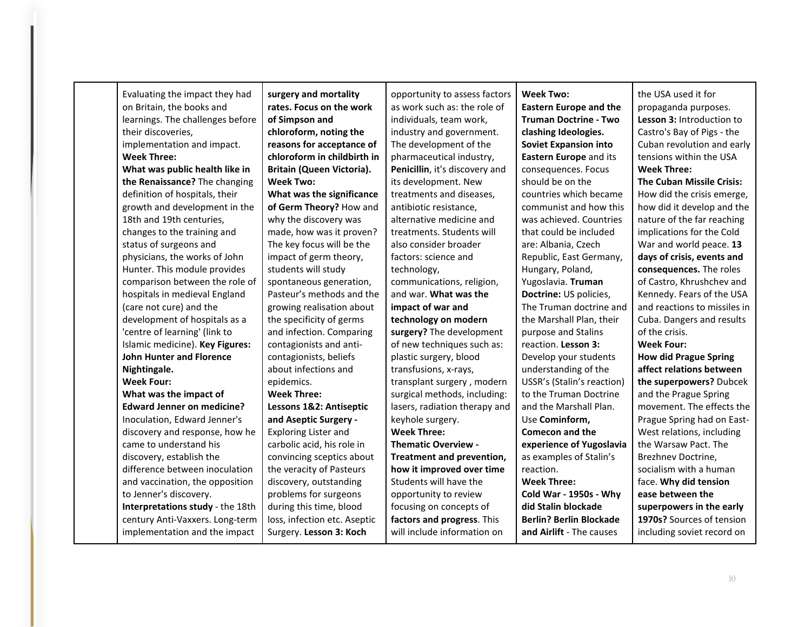| Evaluating the impact they had    | surgery and mortality        | opportunity to assess factors  | <b>Week Two:</b>               | the USA used it for              |
|-----------------------------------|------------------------------|--------------------------------|--------------------------------|----------------------------------|
| on Britain, the books and         | rates. Focus on the work     | as work such as: the role of   | <b>Eastern Europe and the</b>  | propaganda purposes.             |
| learnings. The challenges before  | of Simpson and               | individuals, team work,        | <b>Truman Doctrine - Two</b>   | Lesson 3: Introduction to        |
| their discoveries,                | chloroform, noting the       | industry and government.       | clashing Ideologies.           | Castro's Bay of Pigs - the       |
| implementation and impact.        | reasons for acceptance of    | The development of the         | <b>Soviet Expansion into</b>   | Cuban revolution and early       |
| <b>Week Three:</b>                | chloroform in childbirth in  | pharmaceutical industry,       | Eastern Europe and its         | tensions within the USA          |
| What was public health like in    | Britain (Queen Victoria).    | Penicillin, it's discovery and | consequences. Focus            | <b>Week Three:</b>               |
| the Renaissance? The changing     | <b>Week Two:</b>             | its development. New           | should be on the               | <b>The Cuban Missile Crisis:</b> |
| definition of hospitals, their    | What was the significance    | treatments and diseases,       | countries which became         | How did the crisis emerge,       |
| growth and development in the     | of Germ Theory? How and      | antibiotic resistance,         | communist and how this         | how did it develop and the       |
| 18th and 19th centuries,          | why the discovery was        | alternative medicine and       | was achieved. Countries        | nature of the far reaching       |
| changes to the training and       | made, how was it proven?     | treatments. Students will      | that could be included         | implications for the Cold        |
| status of surgeons and            | The key focus will be the    | also consider broader          | are: Albania, Czech            | War and world peace. 13          |
| physicians, the works of John     | impact of germ theory,       | factors: science and           | Republic, East Germany,        | days of crisis, events and       |
| Hunter. This module provides      | students will study          | technology,                    | Hungary, Poland,               | consequences. The roles          |
| comparison between the role of    | spontaneous generation,      | communications, religion,      | Yugoslavia. Truman             | of Castro, Khrushchev and        |
| hospitals in medieval England     | Pasteur's methods and the    | and war. What was the          | Doctrine: US policies,         | Kennedy. Fears of the USA        |
| (care not cure) and the           | growing realisation about    | impact of war and              | The Truman doctrine and        | and reactions to missiles in     |
| development of hospitals as a     | the specificity of germs     | technology on modern           | the Marshall Plan, their       | Cuba. Dangers and results        |
| 'centre of learning' (link to     | and infection. Comparing     | surgery? The development       | purpose and Stalins            | of the crisis.                   |
| Islamic medicine). Key Figures:   | contagionists and anti-      | of new techniques such as:     | reaction. Lesson 3:            | <b>Week Four:</b>                |
| <b>John Hunter and Florence</b>   | contagionists, beliefs       | plastic surgery, blood         | Develop your students          | <b>How did Prague Spring</b>     |
| Nightingale.                      | about infections and         | transfusions, x-rays,          | understanding of the           | affect relations between         |
| <b>Week Four:</b>                 | epidemics.                   | transplant surgery, modern     | USSR's (Stalin's reaction)     | the superpowers? Dubcek          |
| What was the impact of            | <b>Week Three:</b>           | surgical methods, including:   | to the Truman Doctrine         | and the Prague Spring            |
| <b>Edward Jenner on medicine?</b> | Lessons 1&2: Antiseptic      | lasers, radiation therapy and  | and the Marshall Plan.         | movement. The effects the        |
| Inoculation, Edward Jenner's      | and Aseptic Surgery -        | keyhole surgery.               | Use Cominform,                 | Prague Spring had on East-       |
| discovery and response, how he    | <b>Exploring Lister and</b>  | <b>Week Three:</b>             | <b>Comecon and the</b>         | West relations, including        |
| came to understand his            | carbolic acid, his role in   | <b>Thematic Overview -</b>     | experience of Yugoslavia       | the Warsaw Pact. The             |
| discovery, establish the          | convincing sceptics about    | Treatment and prevention,      | as examples of Stalin's        | Brezhnev Doctrine,               |
| difference between inoculation    | the veracity of Pasteurs     | how it improved over time      | reaction.                      | socialism with a human           |
| and vaccination, the opposition   | discovery, outstanding       | Students will have the         | <b>Week Three:</b>             | face. Why did tension            |
| to Jenner's discovery.            | problems for surgeons        | opportunity to review          | Cold War - 1950s - Why         | ease between the                 |
| Interpretations study - the 18th  | during this time, blood      | focusing on concepts of        | did Stalin blockade            | superpowers in the early         |
| century Anti-Vaxxers. Long-term   | loss, infection etc. Aseptic | factors and progress. This     | <b>Berlin? Berlin Blockade</b> | 1970s? Sources of tension        |
| implementation and the impact     | Surgery. Lesson 3: Koch      | will include information on    | and Airlift - The causes       | including soviet record on       |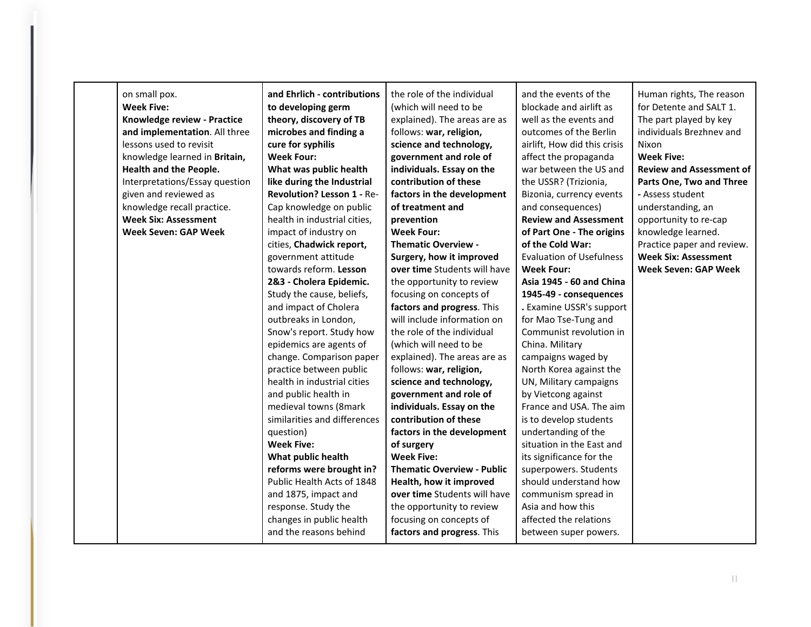| on small pox.<br><b>Week Five:</b><br>Knowledge review - Practice<br>and implementation. All three<br>lessons used to revisit<br>knowledge learned in Britain,<br>Health and the People.<br>Interpretations/Essay question<br>given and reviewed as<br>knowledge recall practice.<br><b>Week Six: Assessment</b><br><b>Week Seven: GAP Week</b> | and Ehrlich - contributions<br>to developing germ<br>theory, discovery of TB<br>microbes and finding a<br>cure for syphilis<br><b>Week Four:</b><br>What was public health<br>like during the Industrial<br><b>Revolution? Lesson 1 - Re-</b><br>Cap knowledge on public<br>health in industrial cities,<br>impact of industry on<br>cities, Chadwick report,<br>government attitude<br>towards reform. Lesson<br>2&3 - Cholera Epidemic.<br>Study the cause, beliefs,<br>and impact of Cholera<br>outbreaks in London,<br>Snow's report. Study how<br>epidemics are agents of<br>change. Comparison paper<br>practice between public<br>health in industrial cities<br>and public health in<br>medieval towns (8mark<br>similarities and differences<br>question)<br><b>Week Five:</b><br>What public health<br>reforms were brought in?<br>Public Health Acts of 1848<br>and 1875, impact and<br>response. Study the<br>changes in public health<br>and the reasons behind | the role of the individual<br>(which will need to be<br>explained). The areas are as<br>follows: war, religion,<br>science and technology,<br>government and role of<br>individuals. Essay on the<br>contribution of these<br>factors in the development<br>of treatment and<br>prevention<br><b>Week Four:</b><br><b>Thematic Overview -</b><br>Surgery, how it improved<br>over time Students will have<br>the opportunity to review<br>focusing on concepts of<br>factors and progress. This<br>will include information on<br>the role of the individual<br>(which will need to be<br>explained). The areas are as<br>follows: war, religion,<br>science and technology,<br>government and role of<br>individuals. Essay on the<br>contribution of these<br>factors in the development<br>of surgery<br><b>Week Five:</b><br><b>Thematic Overview - Public</b><br>Health, how it improved<br>over time Students will have<br>the opportunity to review<br>focusing on concepts of<br>factors and progress. This | and the events of the<br>blockade and airlift as<br>well as the events and<br>outcomes of the Berlin<br>airlift, How did this crisis<br>affect the propaganda<br>war between the US and<br>the USSR? (Trizionia,<br>Bizonia, currency events<br>and consequences)<br><b>Review and Assessment</b><br>of Part One - The origins<br>of the Cold War:<br><b>Evaluation of Usefulness</b><br><b>Week Four:</b><br>Asia 1945 - 60 and China<br>1945-49 - consequences<br>. Examine USSR's support<br>for Mao Tse-Tung and<br>Communist revolution in<br>China. Military<br>campaigns waged by<br>North Korea against the<br>UN, Military campaigns<br>by Vietcong against<br>France and USA. The aim<br>is to develop students<br>undertanding of the<br>situation in the East and<br>its significance for the<br>superpowers. Students<br>should understand how<br>communism spread in<br>Asia and how this<br>affected the relations<br>between super powers. | Human rights, The reason<br>for Detente and SALT 1.<br>The part played by key<br>individuals Brezhnev and<br>Nixon<br><b>Week Five:</b><br><b>Review and Assessment of</b><br>Parts One, Two and Three<br>- Assess student<br>understanding, an<br>opportunity to re-cap<br>knowledge learned.<br>Practice paper and review.<br><b>Week Six: Assessment</b><br><b>Week Seven: GAP Week</b> |
|-------------------------------------------------------------------------------------------------------------------------------------------------------------------------------------------------------------------------------------------------------------------------------------------------------------------------------------------------|------------------------------------------------------------------------------------------------------------------------------------------------------------------------------------------------------------------------------------------------------------------------------------------------------------------------------------------------------------------------------------------------------------------------------------------------------------------------------------------------------------------------------------------------------------------------------------------------------------------------------------------------------------------------------------------------------------------------------------------------------------------------------------------------------------------------------------------------------------------------------------------------------------------------------------------------------------------------------|---------------------------------------------------------------------------------------------------------------------------------------------------------------------------------------------------------------------------------------------------------------------------------------------------------------------------------------------------------------------------------------------------------------------------------------------------------------------------------------------------------------------------------------------------------------------------------------------------------------------------------------------------------------------------------------------------------------------------------------------------------------------------------------------------------------------------------------------------------------------------------------------------------------------------------------------------------------------------------------------------------------------|------------------------------------------------------------------------------------------------------------------------------------------------------------------------------------------------------------------------------------------------------------------------------------------------------------------------------------------------------------------------------------------------------------------------------------------------------------------------------------------------------------------------------------------------------------------------------------------------------------------------------------------------------------------------------------------------------------------------------------------------------------------------------------------------------------------------------------------------------------------------------------------------------------------------------------------------------------|--------------------------------------------------------------------------------------------------------------------------------------------------------------------------------------------------------------------------------------------------------------------------------------------------------------------------------------------------------------------------------------------|
|-------------------------------------------------------------------------------------------------------------------------------------------------------------------------------------------------------------------------------------------------------------------------------------------------------------------------------------------------|------------------------------------------------------------------------------------------------------------------------------------------------------------------------------------------------------------------------------------------------------------------------------------------------------------------------------------------------------------------------------------------------------------------------------------------------------------------------------------------------------------------------------------------------------------------------------------------------------------------------------------------------------------------------------------------------------------------------------------------------------------------------------------------------------------------------------------------------------------------------------------------------------------------------------------------------------------------------------|---------------------------------------------------------------------------------------------------------------------------------------------------------------------------------------------------------------------------------------------------------------------------------------------------------------------------------------------------------------------------------------------------------------------------------------------------------------------------------------------------------------------------------------------------------------------------------------------------------------------------------------------------------------------------------------------------------------------------------------------------------------------------------------------------------------------------------------------------------------------------------------------------------------------------------------------------------------------------------------------------------------------|------------------------------------------------------------------------------------------------------------------------------------------------------------------------------------------------------------------------------------------------------------------------------------------------------------------------------------------------------------------------------------------------------------------------------------------------------------------------------------------------------------------------------------------------------------------------------------------------------------------------------------------------------------------------------------------------------------------------------------------------------------------------------------------------------------------------------------------------------------------------------------------------------------------------------------------------------------|--------------------------------------------------------------------------------------------------------------------------------------------------------------------------------------------------------------------------------------------------------------------------------------------------------------------------------------------------------------------------------------------|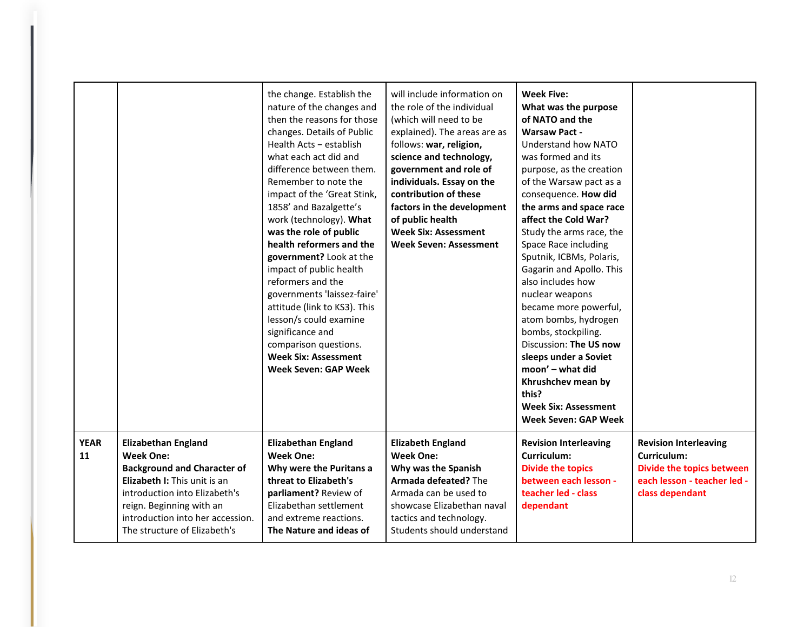|                   |                                                                                                                                                                                                                                                       | the change. Establish the<br>nature of the changes and<br>then the reasons for those<br>changes. Details of Public<br>Health Acts - establish<br>what each act did and<br>difference between them.<br>Remember to note the<br>impact of the 'Great Stink,<br>1858' and Bazalgette's<br>work (technology). What<br>was the role of public<br>health reformers and the<br>government? Look at the<br>impact of public health<br>reformers and the<br>governments 'laissez-faire'<br>attitude (link to KS3). This<br>lesson/s could examine<br>significance and<br>comparison questions.<br><b>Week Six: Assessment</b><br>Week Seven: GAP Week | will include information on<br>the role of the individual<br>(which will need to be<br>explained). The areas are as<br>follows: war, religion,<br>science and technology,<br>government and role of<br>individuals. Essay on the<br>contribution of these<br>factors in the development<br>of public health<br><b>Week Six: Assessment</b><br>Week Seven: Assessment | <b>Week Five:</b><br>What was the purpose<br>of NATO and the<br><b>Warsaw Pact -</b><br>Understand how NATO<br>was formed and its<br>purpose, as the creation<br>of the Warsaw pact as a<br>consequence. How did<br>the arms and space race<br>affect the Cold War?<br>Study the arms race, the<br>Space Race including<br>Sputnik, ICBMs, Polaris,<br>Gagarin and Apollo. This<br>also includes how<br>nuclear weapons<br>became more powerful,<br>atom bombs, hydrogen<br>bombs, stockpiling.<br>Discussion: The US now<br>sleeps under a Soviet<br>moon' - what did<br>Khrushchev mean by<br>this?<br><b>Week Six: Assessment</b><br><b>Week Seven: GAP Week</b> |                                                                                                                            |
|-------------------|-------------------------------------------------------------------------------------------------------------------------------------------------------------------------------------------------------------------------------------------------------|----------------------------------------------------------------------------------------------------------------------------------------------------------------------------------------------------------------------------------------------------------------------------------------------------------------------------------------------------------------------------------------------------------------------------------------------------------------------------------------------------------------------------------------------------------------------------------------------------------------------------------------------|----------------------------------------------------------------------------------------------------------------------------------------------------------------------------------------------------------------------------------------------------------------------------------------------------------------------------------------------------------------------|---------------------------------------------------------------------------------------------------------------------------------------------------------------------------------------------------------------------------------------------------------------------------------------------------------------------------------------------------------------------------------------------------------------------------------------------------------------------------------------------------------------------------------------------------------------------------------------------------------------------------------------------------------------------|----------------------------------------------------------------------------------------------------------------------------|
| <b>YEAR</b><br>11 | <b>Elizabethan England</b><br><b>Week One:</b><br><b>Background and Character of</b><br>Elizabeth I: This unit is an<br>introduction into Elizabeth's<br>reign. Beginning with an<br>introduction into her accession.<br>The structure of Elizabeth's | <b>Elizabethan England</b><br><b>Week One:</b><br>Why were the Puritans a<br>threat to Elizabeth's<br>parliament? Review of<br>Elizabethan settlement<br>and extreme reactions.<br>The Nature and ideas of                                                                                                                                                                                                                                                                                                                                                                                                                                   | <b>Elizabeth England</b><br><b>Week One:</b><br>Why was the Spanish<br>Armada defeated? The<br>Armada can be used to<br>showcase Elizabethan naval<br>tactics and technology.<br>Students should understand                                                                                                                                                          | <b>Revision Interleaving</b><br>Curriculum:<br><b>Divide the topics</b><br>between each lesson -<br>teacher led - class<br>dependant                                                                                                                                                                                                                                                                                                                                                                                                                                                                                                                                | <b>Revision Interleaving</b><br>Curriculum:<br>Divide the topics between<br>each lesson - teacher led -<br>class dependant |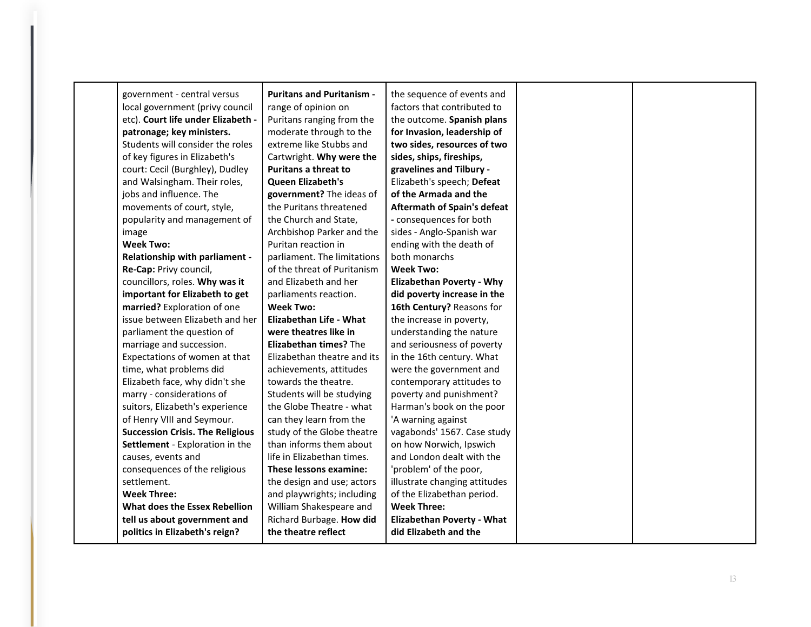| government - central versus             | <b>Puritans and Puritanism -</b> | the sequence of events and         |  |
|-----------------------------------------|----------------------------------|------------------------------------|--|
| local government (privy council         | range of opinion on              | factors that contributed to        |  |
| etc). Court life under Elizabeth -      | Puritans ranging from the        | the outcome. Spanish plans         |  |
| patronage; key ministers.               | moderate through to the          | for Invasion, leadership of        |  |
| Students will consider the roles        | extreme like Stubbs and          | two sides, resources of two        |  |
| of key figures in Elizabeth's           | Cartwright. Why were the         | sides, ships, fireships,           |  |
| court: Cecil (Burghley), Dudley         | <b>Puritans a threat to</b>      | gravelines and Tilbury -           |  |
| and Walsingham. Their roles,            | <b>Queen Elizabeth's</b>         | Elizabeth's speech; Defeat         |  |
| jobs and influence. The                 | government? The ideas of         | of the Armada and the              |  |
| movements of court, style,              | the Puritans threatened          | <b>Aftermath of Spain's defeat</b> |  |
| popularity and management of            | the Church and State,            | - consequences for both            |  |
| image                                   | Archbishop Parker and the        | sides - Anglo-Spanish war          |  |
| Week Two:                               | Puritan reaction in              | ending with the death of           |  |
| Relationship with parliament -          | parliament. The limitations      | both monarchs                      |  |
| Re-Cap: Privy council,                  | of the threat of Puritanism      | <b>Week Two:</b>                   |  |
| councillors, roles. Why was it          | and Elizabeth and her            | <b>Elizabethan Poverty - Why</b>   |  |
| important for Elizabeth to get          | parliaments reaction.            | did poverty increase in the        |  |
| married? Exploration of one             | Week Two:                        | 16th Century? Reasons for          |  |
| issue between Elizabeth and her         | Elizabethan Life - What          | the increase in poverty,           |  |
| parliament the question of              | were theatres like in            | understanding the nature           |  |
| marriage and succession.                | <b>Elizabethan times?</b> The    | and seriousness of poverty         |  |
| Expectations of women at that           | Elizabethan theatre and its      | in the 16th century. What          |  |
| time, what problems did                 | achievements, attitudes          | were the government and            |  |
| Elizabeth face, why didn't she          | towards the theatre.             | contemporary attitudes to          |  |
| marry - considerations of               | Students will be studying        | poverty and punishment?            |  |
| suitors, Elizabeth's experience         | the Globe Theatre - what         | Harman's book on the poor          |  |
| of Henry VIII and Seymour.              | can they learn from the          | 'A warning against                 |  |
| <b>Succession Crisis. The Religious</b> | study of the Globe theatre       | vagabonds' 1567. Case study        |  |
| Settlement - Exploration in the         | than informs them about          | on how Norwich, Ipswich            |  |
| causes, events and                      | life in Elizabethan times.       | and London dealt with the          |  |
| consequences of the religious           | These lessons examine:           | 'problem' of the poor,             |  |
| settlement.                             | the design and use; actors       | illustrate changing attitudes      |  |
| <b>Week Three:</b>                      | and playwrights; including       | of the Elizabethan period.         |  |
| What does the Essex Rebellion           | William Shakespeare and          | <b>Week Three:</b>                 |  |
| tell us about government and            | Richard Burbage. How did         | <b>Elizabethan Poverty - What</b>  |  |
| politics in Elizabeth's reign?          | the theatre reflect              | did Elizabeth and the              |  |
|                                         |                                  |                                    |  |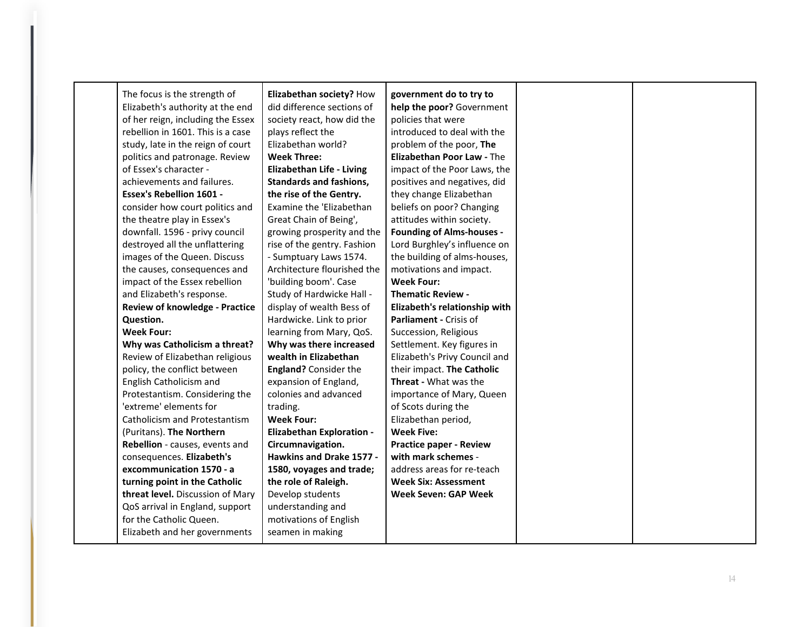| The focus is the strength of          | Elizabethan society? How         | government do to try to          |  |
|---------------------------------------|----------------------------------|----------------------------------|--|
| Elizabeth's authority at the end      | did difference sections of       | help the poor? Government        |  |
| of her reign, including the Essex     | society react, how did the       | policies that were               |  |
| rebellion in 1601. This is a case     | plays reflect the                | introduced to deal with the      |  |
| study, late in the reign of court     | Elizabethan world?               | problem of the poor, The         |  |
| politics and patronage. Review        | <b>Week Three:</b>               | Elizabethan Poor Law - The       |  |
| of Essex's character -                | <b>Elizabethan Life - Living</b> | impact of the Poor Laws, the     |  |
| achievements and failures.            | <b>Standards and fashions,</b>   | positives and negatives, did     |  |
| <b>Essex's Rebellion 1601 -</b>       | the rise of the Gentry.          | they change Elizabethan          |  |
| consider how court politics and       | Examine the 'Elizabethan         | beliefs on poor? Changing        |  |
| the theatre play in Essex's           | Great Chain of Being',           | attitudes within society.        |  |
| downfall. 1596 - privy council        | growing prosperity and the       | <b>Founding of Alms-houses -</b> |  |
| destroyed all the unflattering        | rise of the gentry. Fashion      | Lord Burghley's influence on     |  |
| images of the Queen. Discuss          | - Sumptuary Laws 1574.           | the building of alms-houses,     |  |
| the causes, consequences and          | Architecture flourished the      | motivations and impact.          |  |
| impact of the Essex rebellion         | 'building boom'. Case            | <b>Week Four:</b>                |  |
| and Elizabeth's response.             | Study of Hardwicke Hall -        | <b>Thematic Review -</b>         |  |
| <b>Review of knowledge - Practice</b> | display of wealth Bess of        | Elizabeth's relationship with    |  |
| Question.                             | Hardwicke. Link to prior         | Parliament - Crisis of           |  |
| <b>Week Four:</b>                     | learning from Mary, QoS.         | Succession, Religious            |  |
| Why was Catholicism a threat?         | Why was there increased          | Settlement. Key figures in       |  |
| Review of Elizabethan religious       | wealth in Elizabethan            | Elizabeth's Privy Council and    |  |
| policy, the conflict between          | <b>England?</b> Consider the     | their impact. The Catholic       |  |
| English Catholicism and               | expansion of England,            | Threat - What was the            |  |
| Protestantism. Considering the        | colonies and advanced            | importance of Mary, Queen        |  |
| 'extreme' elements for                | trading.                         | of Scots during the              |  |
| Catholicism and Protestantism         | <b>Week Four:</b>                | Elizabethan period,              |  |
| (Puritans). The Northern              | <b>Elizabethan Exploration -</b> | <b>Week Five:</b>                |  |
| Rebellion - causes, events and        | Circumnavigation.                | <b>Practice paper - Review</b>   |  |
| consequences. Elizabeth's             | Hawkins and Drake 1577 -         | with mark schemes -              |  |
| excommunication 1570 - a              | 1580, voyages and trade;         | address areas for re-teach       |  |
| turning point in the Catholic         | the role of Raleigh.             | <b>Week Six: Assessment</b>      |  |
| threat level. Discussion of Mary      | Develop students                 | <b>Week Seven: GAP Week</b>      |  |
| QoS arrival in England, support       | understanding and                |                                  |  |
| for the Catholic Queen.               | motivations of English           |                                  |  |
| Elizabeth and her governments         | seamen in making                 |                                  |  |
|                                       |                                  |                                  |  |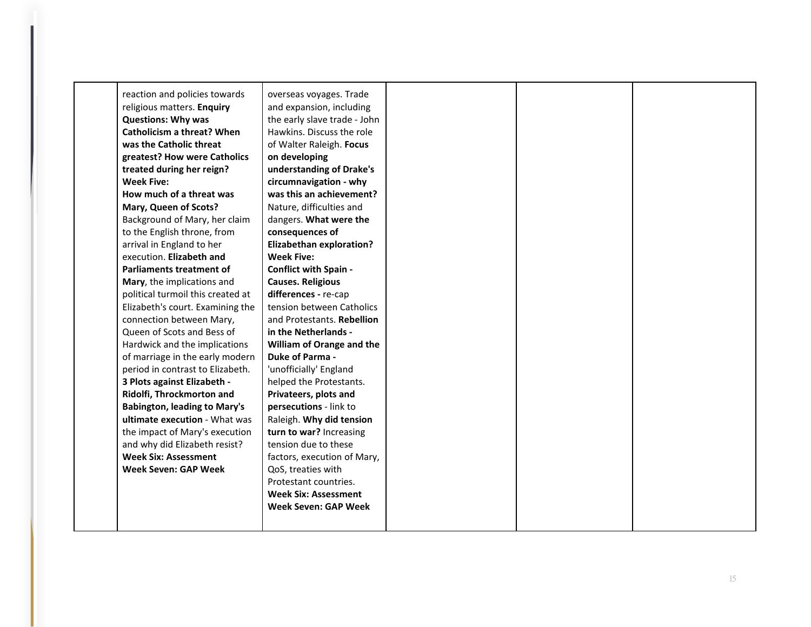| reaction and policies towards       | overseas voyages. Trade         |  |  |
|-------------------------------------|---------------------------------|--|--|
| religious matters. Enquiry          | and expansion, including        |  |  |
| <b>Questions: Why was</b>           | the early slave trade - John    |  |  |
| Catholicism a threat? When          | Hawkins. Discuss the role       |  |  |
| was the Catholic threat             | of Walter Raleigh. Focus        |  |  |
| greatest? How were Catholics        | on developing                   |  |  |
| treated during her reign?           | understanding of Drake's        |  |  |
| <b>Week Five:</b>                   | circumnavigation - why          |  |  |
| How much of a threat was            | was this an achievement?        |  |  |
| Mary, Queen of Scots?               | Nature, difficulties and        |  |  |
| Background of Mary, her claim       | dangers. What were the          |  |  |
| to the English throne, from         | consequences of                 |  |  |
| arrival in England to her           | <b>Elizabethan exploration?</b> |  |  |
| execution. Elizabeth and            | <b>Week Five:</b>               |  |  |
| Parliaments treatment of            | <b>Conflict with Spain -</b>    |  |  |
| Mary, the implications and          | <b>Causes. Religious</b>        |  |  |
| political turmoil this created at   | differences - re-cap            |  |  |
| Elizabeth's court. Examining the    | tension between Catholics       |  |  |
| connection between Mary,            | and Protestants. Rebellion      |  |  |
| Queen of Scots and Bess of          | in the Netherlands -            |  |  |
| Hardwick and the implications       | William of Orange and the       |  |  |
| of marriage in the early modern     | <b>Duke of Parma -</b>          |  |  |
| period in contrast to Elizabeth.    | 'unofficially' England          |  |  |
| 3 Plots against Elizabeth -         | helped the Protestants.         |  |  |
| Ridolfi, Throckmorton and           | Privateers, plots and           |  |  |
| <b>Babington, leading to Mary's</b> | persecutions - link to          |  |  |
| ultimate execution - What was       | Raleigh. Why did tension        |  |  |
| the impact of Mary's execution      | turn to war? Increasing         |  |  |
| and why did Elizabeth resist?       | tension due to these            |  |  |
| <b>Week Six: Assessment</b>         | factors, execution of Mary,     |  |  |
| <b>Week Seven: GAP Week</b>         | QoS, treaties with              |  |  |
|                                     | Protestant countries.           |  |  |
|                                     | <b>Week Six: Assessment</b>     |  |  |
|                                     | <b>Week Seven: GAP Week</b>     |  |  |
|                                     |                                 |  |  |
|                                     |                                 |  |  |